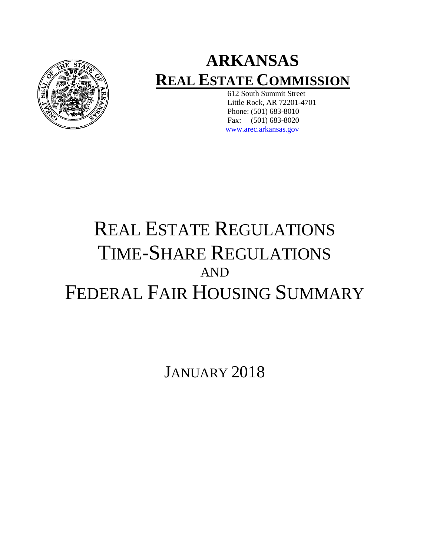

# **ARKANSAS REAL ESTATE COMMISSION**

612 South Summit Street Little Rock, AR 72201-4701 Phone: (501) 683-8010 Fax: (501) 683-8020 [www.arec.arkansas.gov](http://www.arec.arkansas.gov/)

# REAL ESTATE REGULATIONS TIME-SHARE REGULATIONS AND FEDERAL FAIR HOUSING SUMMARY

JANUARY 2018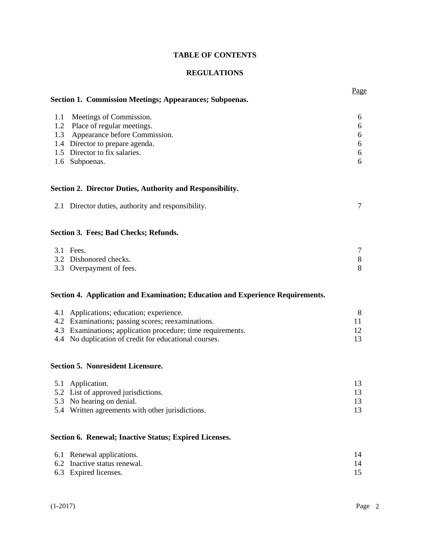## **TABLE OF CONTENTS**

## **REGULATIONS**

|     | Section 1. Commission Meetings; Appearances; Subpoenas.                        | Page |
|-----|--------------------------------------------------------------------------------|------|
| 1.1 | Meetings of Commission.                                                        | 6    |
| 1.2 | Place of regular meetings.                                                     | 6    |
| 1.3 | Appearance before Commission.                                                  | 6    |
|     | 1.4 Director to prepare agenda.                                                | 6    |
|     | 1.5 Director to fix salaries.                                                  | 6    |
|     | 1.6 Subpoenas.                                                                 | 6    |
|     | Section 2. Director Duties, Authority and Responsibility.                      |      |
|     | 2.1 Director duties, authority and responsibility.                             | 7    |
|     | Section 3. Fees; Bad Checks; Refunds.                                          |      |
|     | 3.1 Fees.                                                                      | 7    |
|     | 3.2 Dishonored checks.                                                         | 8    |
|     | 3.3 Overpayment of fees.                                                       | 8    |
|     | Section 4. Application and Examination; Education and Experience Requirements. |      |
|     | 4.1 Applications; education; experience.                                       | 8    |
|     | 4.2 Examinations; passing scores; reexaminations.                              | 11   |
|     | 4.3 Examinations; application procedure; time requirements.                    | 12   |
|     | 4.4 No duplication of credit for educational courses.                          | 13   |
|     | <b>Section 5. Nonresident Licensure.</b>                                       |      |
|     | 5.1 Application.                                                               | 13   |
|     | 5.2 List of approved jurisdictions.                                            | 13   |
|     | 5.3 No hearing on denial.                                                      | 13   |
|     | 5.4 Written agreements with other jurisdictions.                               | 13   |
|     | Section 6. Renewal; Inactive Status; Expired Licenses.                         |      |
| 6.1 | Renewal applications.                                                          | 14   |
|     | 6.2 Inactive status renewal.                                                   | 14   |
|     | 6.3 Expired licenses.                                                          | 15   |
|     |                                                                                |      |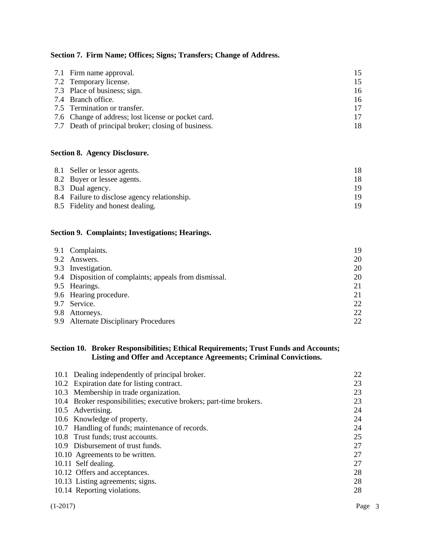## **Section 7. Firm Name; Offices; Signs; Transfers; Change of Address.**

| 7.1 Firm name approval.                             | 15 |
|-----------------------------------------------------|----|
| 7.2 Temporary license.                              | 15 |
| 7.3 Place of business; sign.                        | 16 |
| 7.4 Branch office.                                  | 16 |
| 7.5 Termination or transfer.                        | 17 |
| 7.6 Change of address; lost license or pocket card. | 17 |
| 7.7 Death of principal broker; closing of business. | 18 |
|                                                     |    |

## **Section 8. Agency Disclosure.**

| 8.1 Seller or lessor agents.                 | 18. |
|----------------------------------------------|-----|
| 8.2 Buyer or lessee agents.                  | 18. |
| 8.3 Dual agency.                             | 19. |
| 8.4 Failure to disclose agency relationship. | 19. |
| 8.5 Fidelity and honest dealing.             | 19. |

## **Section 9. Complaints; Investigations; Hearings.**

| 9.1 Complaints.                                        | 19 |
|--------------------------------------------------------|----|
| 9.2 Answers.                                           | 20 |
| 9.3 Investigation.                                     | 20 |
| 9.4 Disposition of complaints; appeals from dismissal. | 20 |
| 9.5 Hearings.                                          | 21 |
| 9.6 Hearing procedure.                                 | 21 |
| 9.7 Service.                                           | 22 |
| 9.8 Attorneys.                                         | 22 |
| 9.9 Alternate Disciplinary Procedures                  | 22 |

## **Section 10. Broker Responsibilities; Ethical Requirements; Trust Funds and Accounts; Listing and Offer and Acceptance Agreements; Criminal Convictions.**

| 10.1 Dealing independently of principal broker.                     | 22 |
|---------------------------------------------------------------------|----|
| 10.2 Expiration date for listing contract.                          | 23 |
| 10.3 Membership in trade organization.                              | 23 |
| 10.4 Broker responsibilities; executive brokers; part-time brokers. | 23 |
| 10.5 Advertising.                                                   | 24 |
| 10.6 Knowledge of property.                                         | 24 |
| 10.7 Handling of funds; maintenance of records.                     | 24 |
| 10.8 Trust funds; trust accounts.                                   | 25 |
| 10.9 Disbursement of trust funds.                                   | 27 |
| 10.10 Agreements to be written.                                     | 27 |
| 10.11 Self dealing.                                                 | 27 |
| 10.12 Offers and acceptances.                                       | 28 |
| 10.13 Listing agreements; signs.                                    | 28 |
| 10.14 Reporting violations.                                         | 28 |
|                                                                     |    |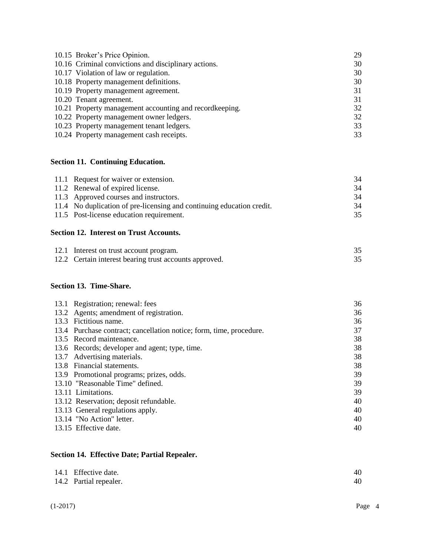| 10.15 Broker's Price Opinion.                            | 29 |
|----------------------------------------------------------|----|
| 10.16 Criminal convictions and disciplinary actions.     | 30 |
| 10.17 Violation of law or regulation.                    | 30 |
| 10.18 Property management definitions.                   | 30 |
| 10.19 Property management agreement.                     | 31 |
| 10.20 Tenant agreement.                                  | 31 |
| 10.21 Property management accounting and record keeping. | 32 |
| 10.22 Property management owner ledgers.                 | 32 |
| 10.23 Property management tenant ledgers.                | 33 |
| 10.24 Property management cash receipts.                 | 33 |
|                                                          |    |

## **Section 11. Continuing Education.**

| 11.1 Request for waiver or extension.                                 | 34 |
|-----------------------------------------------------------------------|----|
| 11.2 Renewal of expired license.                                      | 34 |
| 11.3 Approved courses and instructors.                                | 34 |
| 11.4 No duplication of pre-licensing and continuing education credit. | 34 |
| 11.5 Post-license education requirement.                              | 35 |

## **Section 12. Interest on Trust Accounts.**

| 12.1 Interest on trust account program.                |  |
|--------------------------------------------------------|--|
| 12.2 Certain interest bearing trust accounts approved. |  |

## **Section 13. Time-Share.**

|      | 13.1 Registration; renewal: fees                                    | 36 |
|------|---------------------------------------------------------------------|----|
|      | 13.2 Agents; amendment of registration.                             | 36 |
| 13.3 | Fictitious name.                                                    | 36 |
|      |                                                                     |    |
|      | 13.4 Purchase contract; cancellation notice; form, time, procedure. | 37 |
|      | 13.5 Record maintenance.                                            | 38 |
|      | 13.6 Records; developer and agent; type, time.                      | 38 |
|      | 13.7 Advertising materials.                                         | 38 |
|      | 13.8 Financial statements.                                          | 38 |
|      | 13.9 Promotional programs; prizes, odds.                            | 39 |
|      | 13.10 "Reasonable Time" defined.                                    | 39 |
|      | 13.11 Limitations.                                                  | 39 |
|      | 13.12 Reservation; deposit refundable.                              | 40 |
|      | 13.13 General regulations apply.                                    | 40 |
|      | 13.14 "No Action" letter.                                           | 40 |
|      | 13.15 Effective date.                                               | 40 |

## **Section 14. Effective Date; Partial Repealer.**

| 14.1 Effective date.   | 40 |
|------------------------|----|
| 14.2 Partial repealer. | 40 |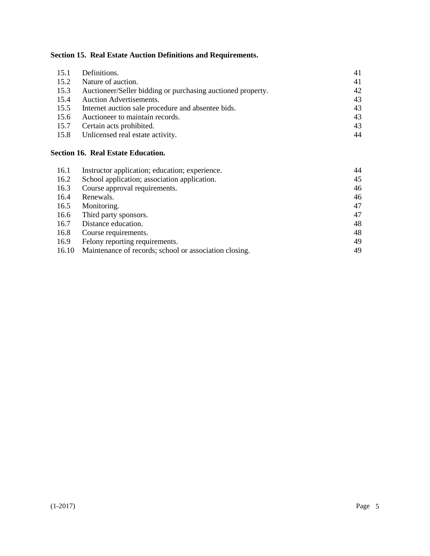## **Section 15. Real Estate Auction Definitions and Requirements.**

| 15.1 | Definitions.                                                | 41 |
|------|-------------------------------------------------------------|----|
| 15.2 | Nature of auction.                                          | 41 |
| 15.3 | Auctioneer/Seller bidding or purchasing auctioned property. | 42 |
| 15.4 | Auction Advertisements.                                     | 43 |
| 15.5 | Internet auction sale procedure and absentee bids.          | 43 |
| 15.6 | Auctioneer to maintain records.                             | 43 |
| 15.7 | Certain acts prohibited.                                    | 43 |
| 15.8 | Unlicensed real estate activity.                            | 44 |

## **Section 16. Real Estate Education.**

| 16.1  | Instructor application; education; experience.         | 44 |
|-------|--------------------------------------------------------|----|
| 16.2  | School application; association application.           | 45 |
| 16.3  | Course approval requirements.                          | 46 |
| 16.4  | Renewals.                                              | 46 |
| 16.5  | Monitoring.                                            | 47 |
| 16.6  | Third party sponsors.                                  | 47 |
| 16.7  | Distance education.                                    | 48 |
| 16.8  | Course requirements.                                   | 48 |
| 16.9  | Felony reporting requirements.                         | 49 |
| 16.10 | Maintenance of records; school or association closing. | 49 |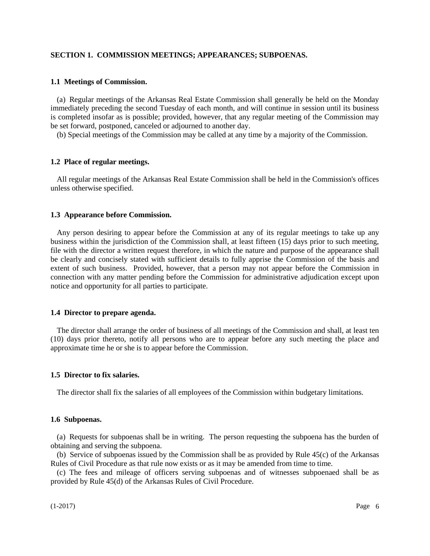## **SECTION 1. COMMISSION MEETINGS; APPEARANCES; SUBPOENAS.**

#### **1.1 Meetings of Commission.**

(a) Regular meetings of the Arkansas Real Estate Commission shall generally be held on the Monday immediately preceding the second Tuesday of each month, and will continue in session until its business is completed insofar as is possible; provided, however, that any regular meeting of the Commission may be set forward, postponed, canceled or adjourned to another day.

(b) Special meetings of the Commission may be called at any time by a majority of the Commission.

#### **1.2 Place of regular meetings.**

All regular meetings of the Arkansas Real Estate Commission shall be held in the Commission's offices unless otherwise specified.

#### **1.3 Appearance before Commission.**

Any person desiring to appear before the Commission at any of its regular meetings to take up any business within the jurisdiction of the Commission shall, at least fifteen (15) days prior to such meeting, file with the director a written request therefore, in which the nature and purpose of the appearance shall be clearly and concisely stated with sufficient details to fully apprise the Commission of the basis and extent of such business. Provided, however, that a person may not appear before the Commission in connection with any matter pending before the Commission for administrative adjudication except upon notice and opportunity for all parties to participate.

#### **1.4 Director to prepare agenda.**

The director shall arrange the order of business of all meetings of the Commission and shall, at least ten (10) days prior thereto, notify all persons who are to appear before any such meeting the place and approximate time he or she is to appear before the Commission.

#### **1.5 Director to fix salaries.**

The director shall fix the salaries of all employees of the Commission within budgetary limitations.

#### **1.6 Subpoenas.**

(a) Requests for subpoenas shall be in writing. The person requesting the subpoena has the burden of obtaining and serving the subpoena.

(b) Service of subpoenas issued by the Commission shall be as provided by Rule 45(c) of the Arkansas Rules of Civil Procedure as that rule now exists or as it may be amended from time to time.

(c) The fees and mileage of officers serving subpoenas and of witnesses subpoenaed shall be as provided by Rule 45(d) of the Arkansas Rules of Civil Procedure.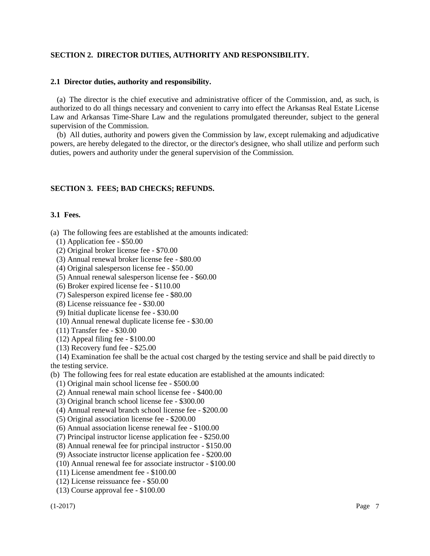## **SECTION 2. DIRECTOR DUTIES, AUTHORITY AND RESPONSIBILITY.**

## **2.1 Director duties, authority and responsibility.**

(a) The director is the chief executive and administrative officer of the Commission, and, as such, is authorized to do all things necessary and convenient to carry into effect the Arkansas Real Estate License Law and Arkansas Time-Share Law and the regulations promulgated thereunder, subject to the general supervision of the Commission.

(b) All duties, authority and powers given the Commission by law, except rulemaking and adjudicative powers, are hereby delegated to the director, or the director's designee, who shall utilize and perform such duties, powers and authority under the general supervision of the Commission.

## **SECTION 3. FEES; BAD CHECKS; REFUNDS.**

## **3.1 Fees.**

- (a) The following fees are established at the amounts indicated:
	- (1) Application fee \$50.00
	- (2) Original broker license fee \$70.00
	- (3) Annual renewal broker license fee \$80.00
	- (4) Original salesperson license fee \$50.00
	- (5) Annual renewal salesperson license fee \$60.00
	- (6) Broker expired license fee \$110.00
	- (7) Salesperson expired license fee \$80.00
	- (8) License reissuance fee \$30.00
	- (9) Initial duplicate license fee \$30.00
	- (10) Annual renewal duplicate license fee \$30.00
	- (11) Transfer fee \$30.00
	- (12) Appeal filing fee \$100.00
	- (13) Recovery fund fee \$25.00

 (14) Examination fee shall be the actual cost charged by the testing service and shall be paid directly to the testing service.

(b) The following fees for real estate education are established at the amounts indicated:

- (1) Original main school license fee \$500.00
- (2) Annual renewal main school license fee \$400.00
- (3) Original branch school license fee \$300.00
- (4) Annual renewal branch school license fee \$200.00
- (5) Original association license fee \$200.00
- (6) Annual association license renewal fee \$100.00
- (7) Principal instructor license application fee \$250.00
- (8) Annual renewal fee for principal instructor \$150.00
- (9) Associate instructor license application fee \$200.00
- (10) Annual renewal fee for associate instructor \$100.00
- (11) License amendment fee \$100.00
- (12) License reissuance fee \$50.00
- (13) Course approval fee \$100.00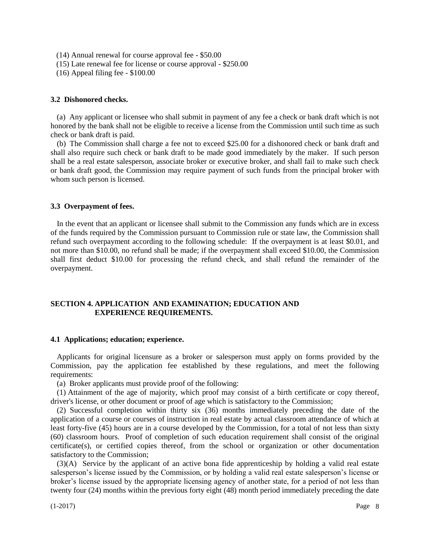- (14) Annual renewal for course approval fee \$50.00
- (15) Late renewal fee for license or course approval \$250.00
- (16) Appeal filing fee \$100.00

#### **3.2 Dishonored checks.**

(a) Any applicant or licensee who shall submit in payment of any fee a check or bank draft which is not honored by the bank shall not be eligible to receive a license from the Commission until such time as such check or bank draft is paid.

(b) The Commission shall charge a fee not to exceed \$25.00 for a dishonored check or bank draft and shall also require such check or bank draft to be made good immediately by the maker. If such person shall be a real estate salesperson, associate broker or executive broker, and shall fail to make such check or bank draft good, the Commission may require payment of such funds from the principal broker with whom such person is licensed.

#### **3.3 Overpayment of fees.**

In the event that an applicant or licensee shall submit to the Commission any funds which are in excess of the funds required by the Commission pursuant to Commission rule or state law, the Commission shall refund such overpayment according to the following schedule: If the overpayment is at least \$0.01, and not more than \$10.00, no refund shall be made; if the overpayment shall exceed \$10.00, the Commission shall first deduct \$10.00 for processing the refund check, and shall refund the remainder of the overpayment.

## **SECTION 4. APPLICATION AND EXAMINATION; EDUCATION AND EXPERIENCE REQUIREMENTS.**

#### **4.1 Applications; education; experience.**

Applicants for original licensure as a broker or salesperson must apply on forms provided by the Commission, pay the application fee established by these regulations, and meet the following requirements:

(a) Broker applicants must provide proof of the following:

(1) Attainment of the age of majority, which proof may consist of a birth certificate or copy thereof, driver's license, or other document or proof of age which is satisfactory to the Commission;

(2) Successful completion within thirty six (36) months immediately preceding the date of the application of a course or courses of instruction in real estate by actual classroom attendance of which at least forty-five (45) hours are in a course developed by the Commission, for a total of not less than sixty (60) classroom hours. Proof of completion of such education requirement shall consist of the original certificate(s), or certified copies thereof, from the school or organization or other documentation satisfactory to the Commission;

(3)(A) Service by the applicant of an active bona fide apprenticeship by holding a valid real estate salesperson's license issued by the Commission, or by holding a valid real estate salesperson's license or broker's license issued by the appropriate licensing agency of another state, for a period of not less than twenty four (24) months within the previous forty eight (48) month period immediately preceding the date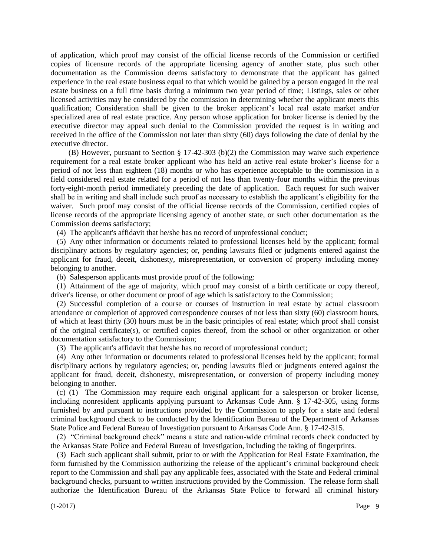of application, which proof may consist of the official license records of the Commission or certified copies of licensure records of the appropriate licensing agency of another state, plus such other documentation as the Commission deems satisfactory to demonstrate that the applicant has gained experience in the real estate business equal to that which would be gained by a person engaged in the real estate business on a full time basis during a minimum two year period of time; Listings, sales or other licensed activities may be considered by the commission in determining whether the applicant meets this qualification; Consideration shall be given to the broker applicant's local real estate market and/or specialized area of real estate practice. Any person whose application for broker license is denied by the executive director may appeal such denial to the Commission provided the request is in writing and received in the office of the Commission not later than sixty (60) days following the date of denial by the executive director.

 (B) However, pursuant to Section § 17-42-303 (b)(2) the Commission may waive such experience requirement for a real estate broker applicant who has held an active real estate broker's license for a period of not less than eighteen (18) months or who has experience acceptable to the commission in a field considered real estate related for a period of not less than twenty-four months within the previous forty-eight-month period immediately preceding the date of application. Each request for such waiver shall be in writing and shall include such proof as necessary to establish the applicant's eligibility for the waiver. Such proof may consist of the official license records of the Commission, certified copies of license records of the appropriate licensing agency of another state, or such other documentation as the Commission deems satisfactory;

(4) The applicant's affidavit that he/she has no record of unprofessional conduct;

(5) Any other information or documents related to professional licenses held by the applicant; formal disciplinary actions by regulatory agencies; or, pending lawsuits filed or judgments entered against the applicant for fraud, deceit, dishonesty, misrepresentation, or conversion of property including money belonging to another.

(b) Salesperson applicants must provide proof of the following:

(1) Attainment of the age of majority, which proof may consist of a birth certificate or copy thereof, driver's license, or other document or proof of age which is satisfactory to the Commission;

(2) Successful completion of a course or courses of instruction in real estate by actual classroom attendance or completion of approved correspondence courses of not less than sixty (60) classroom hours, of which at least thirty (30) hours must be in the basic principles of real estate; which proof shall consist of the original certificate(s), or certified copies thereof, from the school or other organization or other documentation satisfactory to the Commission;

(3) The applicant's affidavit that he/she has no record of unprofessional conduct;

 (4) Any other information or documents related to professional licenses held by the applicant; formal disciplinary actions by regulatory agencies; or, pending lawsuits filed or judgments entered against the applicant for fraud, deceit, dishonesty, misrepresentation, or conversion of property including money belonging to another.

(c) (1) The Commission may require each original applicant for a salesperson or broker license, including nonresident applicants applying pursuant to Arkansas Code Ann. § 17-42-305, using forms furnished by and pursuant to instructions provided by the Commission to apply for a state and federal criminal background check to be conducted by the Identification Bureau of the Department of Arkansas State Police and Federal Bureau of Investigation pursuant to Arkansas Code Ann. § 17-42-315.

(2) "Criminal background check" means a state and nation-wide criminal records check conducted by the Arkansas State Police and Federal Bureau of Investigation, including the taking of fingerprints.

(3) Each such applicant shall submit, prior to or with the Application for Real Estate Examination, the form furnished by the Commission authorizing the release of the applicant's criminal background check report to the Commission and shall pay any applicable fees, associated with the State and Federal criminal background checks, pursuant to written instructions provided by the Commission. The release form shall authorize the Identification Bureau of the Arkansas State Police to forward all criminal history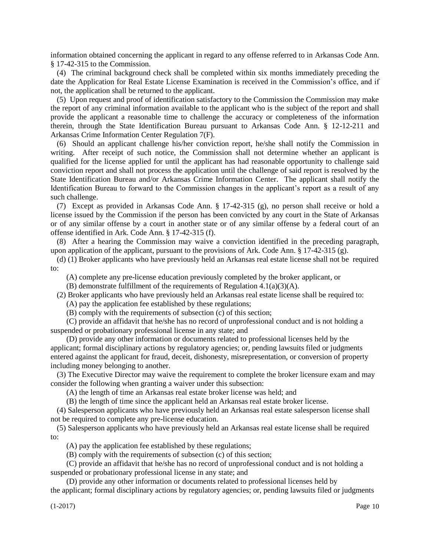information obtained concerning the applicant in regard to any offense referred to in Arkansas Code Ann. § 17-42-315 to the Commission.

(4) The criminal background check shall be completed within six months immediately preceding the date the Application for Real Estate License Examination is received in the Commission's office, and if not, the application shall be returned to the applicant.

(5) Upon request and proof of identification satisfactory to the Commission the Commission may make the report of any criminal information available to the applicant who is the subject of the report and shall provide the applicant a reasonable time to challenge the accuracy or completeness of the information therein, through the State Identification Bureau pursuant to Arkansas Code Ann. § 12-12-211 and Arkansas Crime Information Center Regulation 7(F).

(6) Should an applicant challenge his/her conviction report, he/she shall notify the Commission in writing. After receipt of such notice, the Commission shall not determine whether an applicant is qualified for the license applied for until the applicant has had reasonable opportunity to challenge said conviction report and shall not process the application until the challenge of said report is resolved by the State Identification Bureau and/or Arkansas Crime Information Center. The applicant shall notify the Identification Bureau to forward to the Commission changes in the applicant's report as a result of any such challenge.

(7) Except as provided in Arkansas Code Ann. § 17-42-315 (g), no person shall receive or hold a license issued by the Commission if the person has been convicted by any court in the State of Arkansas or of any similar offense by a court in another state or of any similar offense by a federal court of an offense identified in Ark. Code Ann. § 17-42-315 (f).

(8) After a hearing the Commission may waive a conviction identified in the preceding paragraph, upon application of the applicant, pursuant to the provisions of Ark. Code Ann. § 17-42-315 (g).

 $($ d $)$  $(1)$  Broker applicants who have previously held an Arkansas real estate license shall not be required to:

(A) complete any pre-license education previously completed by the broker applicant, or

(B) demonstrate fulfillment of the requirements of Regulation  $4.1(a)(3)(A)$ .

(2) Broker applicants who have previously held an Arkansas real estate license shall be required to:

(A) pay the application fee established by these regulations;

(B) comply with the requirements of subsection (c) of this section;

(C) provide an affidavit that he/she has no record of unprofessional conduct and is not holding a suspended or probationary professional license in any state; and

(D) provide any other information or documents related to professional licenses held by the applicant; formal disciplinary actions by regulatory agencies; or, pending lawsuits filed or judgments entered against the applicant for fraud, deceit, dishonesty, misrepresentation, or conversion of property including money belonging to another.

(3) The Executive Director may waive the requirement to complete the broker licensure exam and may consider the following when granting a waiver under this subsection:

(A) the length of time an Arkansas real estate broker license was held; and

(B) the length of time since the applicant held an Arkansas real estate broker license.

(4) Salesperson applicants who have previously held an Arkansas real estate salesperson license shall not be required to complete any pre-license education.

(5) Salesperson applicants who have previously held an Arkansas real estate license shall be required to:

(A) pay the application fee established by these regulations;

(B) comply with the requirements of subsection (c) of this section;

(C) provide an affidavit that he/she has no record of unprofessional conduct and is not holding a suspended or probationary professional license in any state; and

(D) provide any other information or documents related to professional licenses held by the applicant; formal disciplinary actions by regulatory agencies; or, pending lawsuits filed or judgments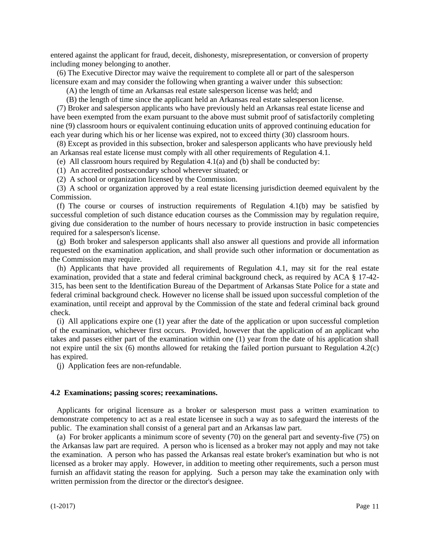entered against the applicant for fraud, deceit, dishonesty, misrepresentation, or conversion of property including money belonging to another.

(6) The Executive Director may waive the requirement to complete all or part of the salesperson licensure exam and may consider the following when granting a waiver under this subsection:

(A) the length of time an Arkansas real estate salesperson license was held; and

(B) the length of time since the applicant held an Arkansas real estate salesperson license.

(7) Broker and salesperson applicants who have previously held an Arkansas real estate license and have been exempted from the exam pursuant to the above must submit proof of satisfactorily completing nine (9) classroom hours or equivalent continuing education units of approved continuing education for each year during which his or her license was expired, not to exceed thirty (30) classroom hours.

(8) Except as provided in this subsection, broker and salesperson applicants who have previously held an Arkansas real estate license must comply with all other requirements of Regulation 4.1.

(e) All classroom hours required by Regulation 4.1(a) and (b) shall be conducted by:

(1) An accredited postsecondary school wherever situated; or

(2) A school or organization licensed by the Commission.

(3) A school or organization approved by a real estate licensing jurisdiction deemed equivalent by the Commission.

(f) The course or courses of instruction requirements of Regulation 4.1(b) may be satisfied by successful completion of such distance education courses as the Commission may by regulation require, giving due consideration to the number of hours necessary to provide instruction in basic competencies required for a salesperson's license.

(g) Both broker and salesperson applicants shall also answer all questions and provide all information requested on the examination application, and shall provide such other information or documentation as the Commission may require.

(h) Applicants that have provided all requirements of Regulation 4.1, may sit for the real estate examination, provided that a state and federal criminal background check, as required by ACA § 17-42- 315, has been sent to the Identification Bureau of the Department of Arkansas State Police for a state and federal criminal background check. However no license shall be issued upon successful completion of the examination, until receipt and approval by the Commission of the state and federal criminal back ground check.

(i) All applications expire one (1) year after the date of the application or upon successful completion of the examination, whichever first occurs. Provided, however that the application of an applicant who takes and passes either part of the examination within one (1) year from the date of his application shall not expire until the six (6) months allowed for retaking the failed portion pursuant to Regulation 4.2(c) has expired.

(j) Application fees are non-refundable.

#### **4.2 Examinations; passing scores; reexaminations.**

Applicants for original licensure as a broker or salesperson must pass a written examination to demonstrate competency to act as a real estate licensee in such a way as to safeguard the interests of the public. The examination shall consist of a general part and an Arkansas law part.

(a) For broker applicants a minimum score of seventy (70) on the general part and seventy-five (75) on the Arkansas law part are required. A person who is licensed as a broker may not apply and may not take the examination. A person who has passed the Arkansas real estate broker's examination but who is not licensed as a broker may apply. However, in addition to meeting other requirements, such a person must furnish an affidavit stating the reason for applying. Such a person may take the examination only with written permission from the director or the director's designee.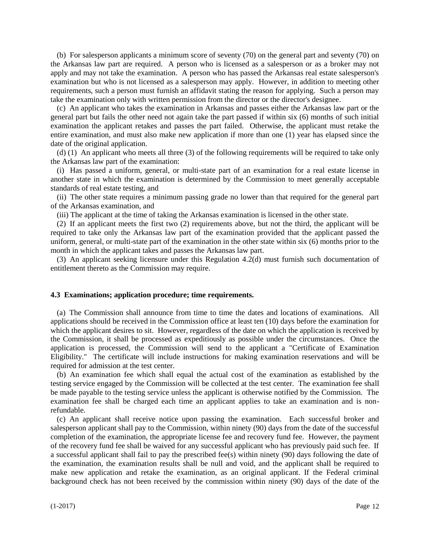(b) For salesperson applicants a minimum score of seventy (70) on the general part and seventy (70) on the Arkansas law part are required. A person who is licensed as a salesperson or as a broker may not apply and may not take the examination. A person who has passed the Arkansas real estate salesperson's examination but who is not licensed as a salesperson may apply. However, in addition to meeting other requirements, such a person must furnish an affidavit stating the reason for applying. Such a person may take the examination only with written permission from the director or the director's designee.

(c) An applicant who takes the examination in Arkansas and passes either the Arkansas law part or the general part but fails the other need not again take the part passed if within six (6) months of such initial examination the applicant retakes and passes the part failed. Otherwise, the applicant must retake the entire examination, and must also make new application if more than one (1) year has elapsed since the date of the original application.

(d) (1) An applicant who meets all three (3) of the following requirements will be required to take only the Arkansas law part of the examination:

(i) Has passed a uniform, general, or multi-state part of an examination for a real estate license in another state in which the examination is determined by the Commission to meet generally acceptable standards of real estate testing, and

(ii) The other state requires a minimum passing grade no lower than that required for the general part of the Arkansas examination, and

(iii) The applicant at the time of taking the Arkansas examination is licensed in the other state.

(2) If an applicant meets the first two (2) requirements above, but not the third, the applicant will be required to take only the Arkansas law part of the examination provided that the applicant passed the uniform, general, or multi-state part of the examination in the other state within six (6) months prior to the month in which the applicant takes and passes the Arkansas law part.

(3) An applicant seeking licensure under this Regulation 4.2(d) must furnish such documentation of entitlement thereto as the Commission may require.

#### **4.3 Examinations; application procedure; time requirements.**

(a) The Commission shall announce from time to time the dates and locations of examinations. All applications should be received in the Commission office at least ten (10) days before the examination for which the applicant desires to sit. However, regardless of the date on which the application is received by the Commission, it shall be processed as expeditiously as possible under the circumstances. Once the application is processed, the Commission will send to the applicant a "Certificate of Examination Eligibility." The certificate will include instructions for making examination reservations and will be required for admission at the test center.

(b) An examination fee which shall equal the actual cost of the examination as established by the testing service engaged by the Commission will be collected at the test center. The examination fee shall be made payable to the testing service unless the applicant is otherwise notified by the Commission. The examination fee shall be charged each time an applicant applies to take an examination and is nonrefundable.

(c) An applicant shall receive notice upon passing the examination. Each successful broker and salesperson applicant shall pay to the Commission, within ninety (90) days from the date of the successful completion of the examination, the appropriate license fee and recovery fund fee. However, the payment of the recovery fund fee shall be waived for any successful applicant who has previously paid such fee. If a successful applicant shall fail to pay the prescribed fee(s) within ninety  $(90)$  days following the date of the examination, the examination results shall be null and void, and the applicant shall be required to make new application and retake the examination, as an original applicant. If the Federal criminal background check has not been received by the commission within ninety (90) days of the date of the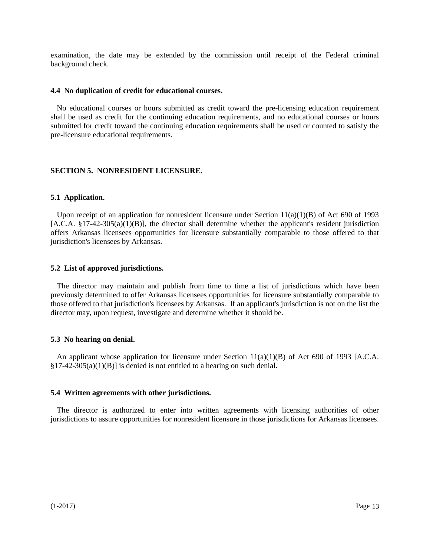examination, the date may be extended by the commission until receipt of the Federal criminal background check.

#### **4.4 No duplication of credit for educational courses.**

No educational courses or hours submitted as credit toward the pre-licensing education requirement shall be used as credit for the continuing education requirements, and no educational courses or hours submitted for credit toward the continuing education requirements shall be used or counted to satisfy the pre-licensure educational requirements.

#### **SECTION 5. NONRESIDENT LICENSURE.**

#### **5.1 Application.**

Upon receipt of an application for nonresident licensure under Section  $11(a)(1)(B)$  of Act 690 of 1993 [A.C.A. §17-42-305(a)(1)(B)], the director shall determine whether the applicant's resident jurisdiction offers Arkansas licensees opportunities for licensure substantially comparable to those offered to that jurisdiction's licensees by Arkansas.

#### **5.2 List of approved jurisdictions.**

The director may maintain and publish from time to time a list of jurisdictions which have been previously determined to offer Arkansas licensees opportunities for licensure substantially comparable to those offered to that jurisdiction's licensees by Arkansas. If an applicant's jurisdiction is not on the list the director may, upon request, investigate and determine whether it should be.

#### **5.3 No hearing on denial.**

An applicant whose application for licensure under Section  $11(a)(1)(B)$  of Act 690 of 1993 [A.C.A.  $\S17-42-305(a)(1)(B)$  is denied is not entitled to a hearing on such denial.

#### **5.4 Written agreements with other jurisdictions.**

The director is authorized to enter into written agreements with licensing authorities of other jurisdictions to assure opportunities for nonresident licensure in those jurisdictions for Arkansas licensees.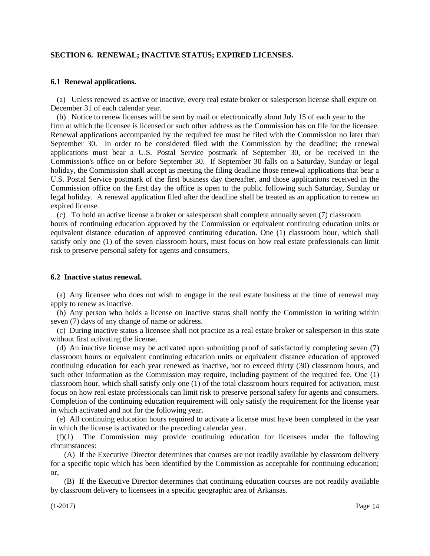#### **SECTION 6. RENEWAL; INACTIVE STATUS; EXPIRED LICENSES.**

#### **6.1 Renewal applications.**

(a) Unless renewed as active or inactive, every real estate broker or salesperson license shall expire on December 31 of each calendar year.

(b) Notice to renew licenses will be sent by mail or electronically about July 15 of each year to the firm at which the licensee is licensed or such other address as the Commission has on file for the licensee. Renewal applications accompanied by the required fee must be filed with the Commission no later than September 30. In order to be considered filed with the Commission by the deadline; the renewal applications must bear a U.S. Postal Service postmark of September 30, or be received in the Commission's office on or before September 30. If September 30 falls on a Saturday, Sunday or legal holiday, the Commission shall accept as meeting the filing deadline those renewal applications that bear a U.S. Postal Service postmark of the first business day thereafter, and those applications received in the Commission office on the first day the office is open to the public following such Saturday, Sunday or legal holiday. A renewal application filed after the deadline shall be treated as an application to renew an expired license.

(c) To hold an active license a broker or salesperson shall complete annually seven (7) classroom hours of continuing education approved by the Commission or equivalent continuing education units or equivalent distance education of approved continuing education. One (1) classroom hour, which shall satisfy only one (1) of the seven classroom hours, must focus on how real estate professionals can limit risk to preserve personal safety for agents and consumers.

#### **6.2 Inactive status renewal.**

 (a) Any licensee who does not wish to engage in the real estate business at the time of renewal may apply to renew as inactive.

(b) Any person who holds a license on inactive status shall notify the Commission in writing within seven (7) days of any change of name or address.

(c) During inactive status a licensee shall not practice as a real estate broker or salesperson in this state without first activating the license.

(d) An inactive license may be activated upon submitting proof of satisfactorily completing seven (7) classroom hours or equivalent continuing education units or equivalent distance education of approved continuing education for each year renewed as inactive, not to exceed thirty (30) classroom hours, and such other information as the Commission may require, including payment of the required fee. One (1) classroom hour, which shall satisfy only one (1) of the total classroom hours required for activation, must focus on how real estate professionals can limit risk to preserve personal safety for agents and consumers. Completion of the continuing education requirement will only satisfy the requirement for the license year in which activated and not for the following year.

(e) All continuing education hours required to activate a license must have been completed in the year in which the license is activated or the preceding calendar year.

 (f)(1) The Commission may provide continuing education for licensees under the following circumstances:

 (A) If the Executive Director determines that courses are not readily available by classroom delivery for a specific topic which has been identified by the Commission as acceptable for continuing education; or,

 (B) If the Executive Director determines that continuing education courses are not readily available by classroom delivery to licensees in a specific geographic area of Arkansas.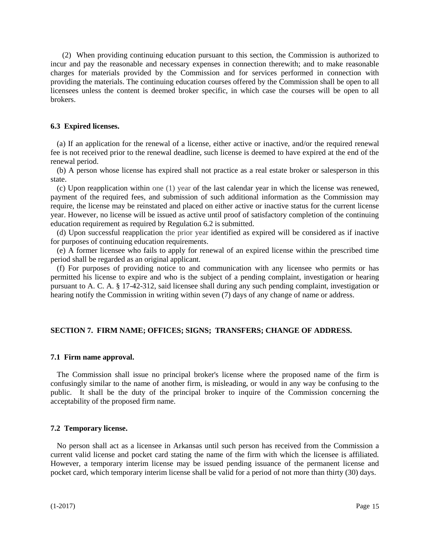(2) When providing continuing education pursuant to this section, the Commission is authorized to incur and pay the reasonable and necessary expenses in connection therewith; and to make reasonable charges for materials provided by the Commission and for services performed in connection with providing the materials. The continuing education courses offered by the Commission shall be open to all licensees unless the content is deemed broker specific, in which case the courses will be open to all brokers.

#### **6.3 Expired licenses.**

(a) If an application for the renewal of a license, either active or inactive, and/or the required renewal fee is not received prior to the renewal deadline, such license is deemed to have expired at the end of the renewal period.

(b) A person whose license has expired shall not practice as a real estate broker or salesperson in this state.

(c) Upon reapplication within one (1) year of the last calendar year in which the license was renewed, payment of the required fees, and submission of such additional information as the Commission may require, the license may be reinstated and placed on either active or inactive status for the current license year. However, no license will be issued as active until proof of satisfactory completion of the continuing education requirement as required by Regulation 6.2 is submitted.

(d) Upon successful reapplication the prior year identified as expired will be considered as if inactive for purposes of continuing education requirements.

(e) A former licensee who fails to apply for renewal of an expired license within the prescribed time period shall be regarded as an original applicant.

(f) For purposes of providing notice to and communication with any licensee who permits or has permitted his license to expire and who is the subject of a pending complaint, investigation or hearing pursuant to A. C. A. § 17-42-312, said licensee shall during any such pending complaint, investigation or hearing notify the Commission in writing within seven (7) days of any change of name or address.

#### **SECTION 7. FIRM NAME; OFFICES; SIGNS; TRANSFERS; CHANGE OF ADDRESS.**

#### **7.1 Firm name approval.**

The Commission shall issue no principal broker's license where the proposed name of the firm is confusingly similar to the name of another firm, is misleading, or would in any way be confusing to the public. It shall be the duty of the principal broker to inquire of the Commission concerning the acceptability of the proposed firm name.

#### **7.2 Temporary license.**

No person shall act as a licensee in Arkansas until such person has received from the Commission a current valid license and pocket card stating the name of the firm with which the licensee is affiliated. However, a temporary interim license may be issued pending issuance of the permanent license and pocket card, which temporary interim license shall be valid for a period of not more than thirty (30) days.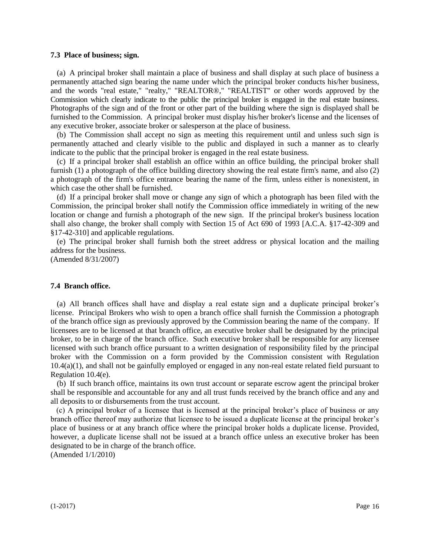#### **7.3 Place of business; sign.**

(a) A principal broker shall maintain a place of business and shall display at such place of business a permanently attached sign bearing the name under which the principal broker conducts his/her business, and the words "real estate," "realty," "REALTOR®," "REALTIST" or other words approved by the Commission which clearly indicate to the public the principal broker is engaged in the real estate business. Photographs of the sign and of the front or other part of the building where the sign is displayed shall be furnished to the Commission. A principal broker must display his/her broker's license and the licenses of any executive broker, associate broker or salesperson at the place of business.

(b) The Commission shall accept no sign as meeting this requirement until and unless such sign is permanently attached and clearly visible to the public and displayed in such a manner as to clearly indicate to the public that the principal broker is engaged in the real estate business.

(c) If a principal broker shall establish an office within an office building, the principal broker shall furnish (1) a photograph of the office building directory showing the real estate firm's name, and also (2) a photograph of the firm's office entrance bearing the name of the firm, unless either is nonexistent, in which case the other shall be furnished.

(d) If a principal broker shall move or change any sign of which a photograph has been filed with the Commission, the principal broker shall notify the Commission office immediately in writing of the new location or change and furnish a photograph of the new sign. If the principal broker's business location shall also change, the broker shall comply with Section 15 of Act 690 of 1993 [A.C.A. §17-42-309 and §17-42-310] and applicable regulations.

(e) The principal broker shall furnish both the street address or physical location and the mailing address for the business.

(Amended 8/31/2007)

## **7.4 Branch office.**

(a) All branch offices shall have and display a real estate sign and a duplicate principal broker's license. Principal Brokers who wish to open a branch office shall furnish the Commission a photograph of the branch office sign as previously approved by the Commission bearing the name of the company. If licensees are to be licensed at that branch office, an executive broker shall be designated by the principal broker, to be in charge of the branch office. Such executive broker shall be responsible for any licensee licensed with such branch office pursuant to a written designation of responsibility filed by the principal broker with the Commission on a form provided by the Commission consistent with Regulation 10.4(a)(1), and shall not be gainfully employed or engaged in any non-real estate related field pursuant to Regulation 10.4(e).

(b) If such branch office, maintains its own trust account or separate escrow agent the principal broker shall be responsible and accountable for any and all trust funds received by the branch office and any and all deposits to or disbursements from the trust account.

 (c) A principal broker of a licensee that is licensed at the principal broker's place of business or any branch office thereof may authorize that licensee to be issued a duplicate license at the principal broker's place of business or at any branch office where the principal broker holds a duplicate license. Provided, however, a duplicate license shall not be issued at a branch office unless an executive broker has been designated to be in charge of the branch office.

(Amended 1/1/2010)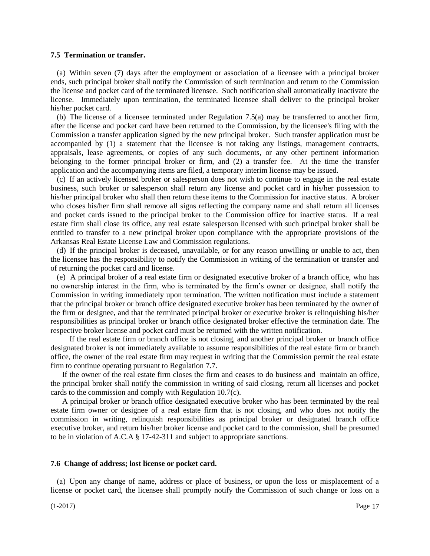#### **7.5 Termination or transfer.**

(a) Within seven (7) days after the employment or association of a licensee with a principal broker ends, such principal broker shall notify the Commission of such termination and return to the Commission the license and pocket card of the terminated licensee. Such notification shall automatically inactivate the license. Immediately upon termination, the terminated licensee shall deliver to the principal broker his/her pocket card.

(b) The license of a licensee terminated under Regulation 7.5(a) may be transferred to another firm, after the license and pocket card have been returned to the Commission, by the licensee's filing with the Commission a transfer application signed by the new principal broker. Such transfer application must be accompanied by (1) a statement that the licensee is not taking any listings, management contracts, appraisals, lease agreements, or copies of any such documents, or any other pertinent information belonging to the former principal broker or firm, and (2) a transfer fee. At the time the transfer application and the accompanying items are filed, a temporary interim license may be issued.

(c) If an actively licensed broker or salesperson does not wish to continue to engage in the real estate business, such broker or salesperson shall return any license and pocket card in his/her possession to his/her principal broker who shall then return these items to the Commission for inactive status. A broker who closes his/her firm shall remove all signs reflecting the company name and shall return all licenses and pocket cards issued to the principal broker to the Commission office for inactive status. If a real estate firm shall close its office, any real estate salesperson licensed with such principal broker shall be entitled to transfer to a new principal broker upon compliance with the appropriate provisions of the Arkansas Real Estate License Law and Commission regulations.

(d) If the principal broker is deceased, unavailable, or for any reason unwilling or unable to act, then the licensee has the responsibility to notify the Commission in writing of the termination or transfer and of returning the pocket card and license.

(e) A principal broker of a real estate firm or designated executive broker of a branch office, who has no ownership interest in the firm, who is terminated by the firm's owner or designee, shall notify the Commission in writing immediately upon termination. The written notification must include a statement that the principal broker or branch office designated executive broker has been terminated by the owner of the firm or designee, and that the terminated principal broker or executive broker is relinquishing his/her responsibilities as principal broker or branch office designated broker effective the termination date. The respective broker license and pocket card must be returned with the written notification.

If the real estate firm or branch office is not closing, and another principal broker or branch office designated broker is not immediately available to assume responsibilities of the real estate firm or branch office, the owner of the real estate firm may request in writing that the Commission permit the real estate firm to continue operating pursuant to Regulation 7.7.

 If the owner of the real estate firm closes the firm and ceases to do business and maintain an office, the principal broker shall notify the commission in writing of said closing, return all licenses and pocket cards to the commission and comply with Regulation 10.7(c).

 A principal broker or branch office designated executive broker who has been terminated by the real estate firm owner or designee of a real estate firm that is not closing, and who does not notify the commission in writing, relinquish responsibilities as principal broker or designated branch office executive broker, and return his/her broker license and pocket card to the commission, shall be presumed to be in violation of A.C.A § 17-42-311 and subject to appropriate sanctions.

#### **7.6 Change of address; lost license or pocket card.**

(a) Upon any change of name, address or place of business, or upon the loss or misplacement of a license or pocket card, the licensee shall promptly notify the Commission of such change or loss on a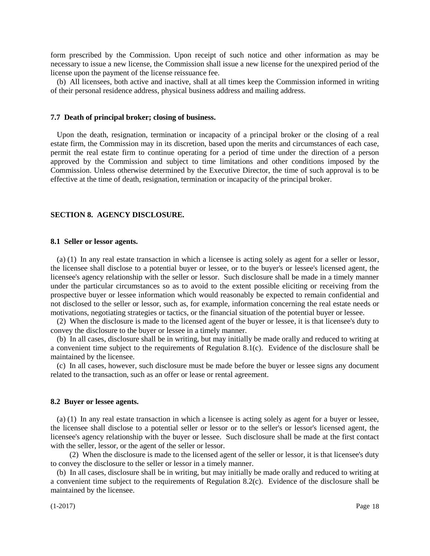form prescribed by the Commission. Upon receipt of such notice and other information as may be necessary to issue a new license, the Commission shall issue a new license for the unexpired period of the license upon the payment of the license reissuance fee.

(b) All licensees, both active and inactive, shall at all times keep the Commission informed in writing of their personal residence address, physical business address and mailing address.

#### **7.7 Death of principal broker; closing of business.**

Upon the death, resignation, termination or incapacity of a principal broker or the closing of a real estate firm, the Commission may in its discretion, based upon the merits and circumstances of each case, permit the real estate firm to continue operating for a period of time under the direction of a person approved by the Commission and subject to time limitations and other conditions imposed by the Commission. Unless otherwise determined by the Executive Director, the time of such approval is to be effective at the time of death, resignation, termination or incapacity of the principal broker.

#### **SECTION 8. AGENCY DISCLOSURE.**

#### **8.1 Seller or lessor agents.**

(a) (1) In any real estate transaction in which a licensee is acting solely as agent for a seller or lessor, the licensee shall disclose to a potential buyer or lessee, or to the buyer's or lessee's licensed agent, the licensee's agency relationship with the seller or lessor. Such disclosure shall be made in a timely manner under the particular circumstances so as to avoid to the extent possible eliciting or receiving from the prospective buyer or lessee information which would reasonably be expected to remain confidential and not disclosed to the seller or lessor, such as, for example, information concerning the real estate needs or motivations, negotiating strategies or tactics, or the financial situation of the potential buyer or lessee.

(2) When the disclosure is made to the licensed agent of the buyer or lessee, it is that licensee's duty to convey the disclosure to the buyer or lessee in a timely manner.

(b) In all cases, disclosure shall be in writing, but may initially be made orally and reduced to writing at a convenient time subject to the requirements of Regulation 8.1(c). Evidence of the disclosure shall be maintained by the licensee.

(c) In all cases, however, such disclosure must be made before the buyer or lessee signs any document related to the transaction, such as an offer or lease or rental agreement.

#### **8.2 Buyer or lessee agents.**

(a) (1) In any real estate transaction in which a licensee is acting solely as agent for a buyer or lessee, the licensee shall disclose to a potential seller or lessor or to the seller's or lessor's licensed agent, the licensee's agency relationship with the buyer or lessee. Such disclosure shall be made at the first contact with the seller, lessor, or the agent of the seller or lessor.

(2) When the disclosure is made to the licensed agent of the seller or lessor, it is that licensee's duty to convey the disclosure to the seller or lessor in a timely manner.

(b) In all cases, disclosure shall be in writing, but may initially be made orally and reduced to writing at a convenient time subject to the requirements of Regulation 8.2(c). Evidence of the disclosure shall be maintained by the licensee.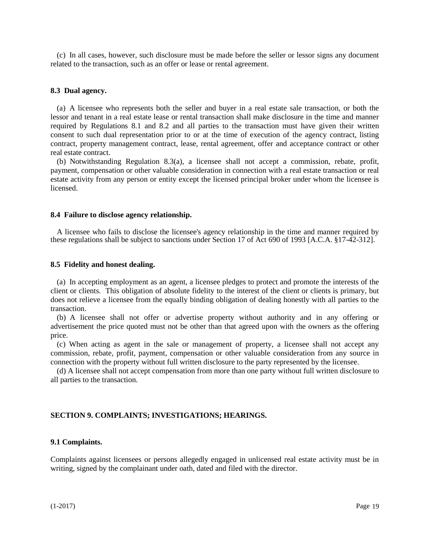(c) In all cases, however, such disclosure must be made before the seller or lessor signs any document related to the transaction, such as an offer or lease or rental agreement.

#### **8.3 Dual agency.**

(a) A licensee who represents both the seller and buyer in a real estate sale transaction, or both the lessor and tenant in a real estate lease or rental transaction shall make disclosure in the time and manner required by Regulations 8.1 and 8.2 and all parties to the transaction must have given their written consent to such dual representation prior to or at the time of execution of the agency contract, listing contract, property management contract, lease, rental agreement, offer and acceptance contract or other real estate contract.

(b) Notwithstanding Regulation 8.3(a), a licensee shall not accept a commission, rebate, profit, payment, compensation or other valuable consideration in connection with a real estate transaction or real estate activity from any person or entity except the licensed principal broker under whom the licensee is licensed.

#### **8.4 Failure to disclose agency relationship.**

A licensee who fails to disclose the licensee's agency relationship in the time and manner required by these regulations shall be subject to sanctions under Section 17 of Act 690 of 1993 [A.C.A. §17-42-312].

## **8.5 Fidelity and honest dealing.**

(a) In accepting employment as an agent, a licensee pledges to protect and promote the interests of the client or clients. This obligation of absolute fidelity to the interest of the client or clients is primary, but does not relieve a licensee from the equally binding obligation of dealing honestly with all parties to the transaction.

(b) A licensee shall not offer or advertise property without authority and in any offering or advertisement the price quoted must not be other than that agreed upon with the owners as the offering price.

(c) When acting as agent in the sale or management of property, a licensee shall not accept any commission, rebate, profit, payment, compensation or other valuable consideration from any source in connection with the property without full written disclosure to the party represented by the licensee.

(d) A licensee shall not accept compensation from more than one party without full written disclosure to all parties to the transaction.

#### **SECTION 9. COMPLAINTS; INVESTIGATIONS; HEARINGS.**

#### **9.1 Complaints.**

Complaints against licensees or persons allegedly engaged in unlicensed real estate activity must be in writing, signed by the complainant under oath, dated and filed with the director.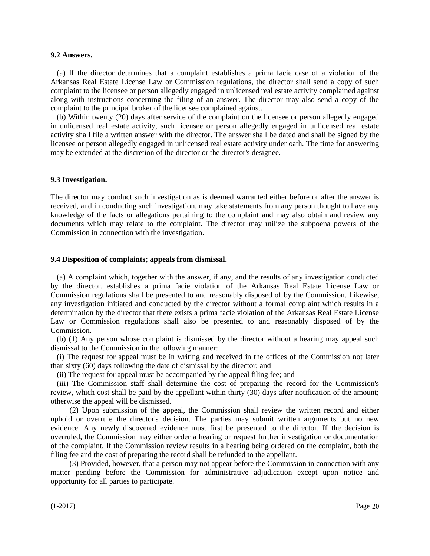#### **9.2 Answers.**

(a) If the director determines that a complaint establishes a prima facie case of a violation of the Arkansas Real Estate License Law or Commission regulations, the director shall send a copy of such complaint to the licensee or person allegedly engaged in unlicensed real estate activity complained against along with instructions concerning the filing of an answer. The director may also send a copy of the complaint to the principal broker of the licensee complained against.

(b) Within twenty (20) days after service of the complaint on the licensee or person allegedly engaged in unlicensed real estate activity, such licensee or person allegedly engaged in unlicensed real estate activity shall file a written answer with the director. The answer shall be dated and shall be signed by the licensee or person allegedly engaged in unlicensed real estate activity under oath. The time for answering may be extended at the discretion of the director or the director's designee.

#### **9.3 Investigation.**

The director may conduct such investigation as is deemed warranted either before or after the answer is received, and in conducting such investigation, may take statements from any person thought to have any knowledge of the facts or allegations pertaining to the complaint and may also obtain and review any documents which may relate to the complaint. The director may utilize the subpoena powers of the Commission in connection with the investigation.

#### **9.4 Disposition of complaints; appeals from dismissal.**

(a) A complaint which, together with the answer, if any, and the results of any investigation conducted by the director, establishes a prima facie violation of the Arkansas Real Estate License Law or Commission regulations shall be presented to and reasonably disposed of by the Commission. Likewise, any investigation initiated and conducted by the director without a formal complaint which results in a determination by the director that there exists a prima facie violation of the Arkansas Real Estate License Law or Commission regulations shall also be presented to and reasonably disposed of by the **Commission** 

(b) (1) Any person whose complaint is dismissed by the director without a hearing may appeal such dismissal to the Commission in the following manner:

(i) The request for appeal must be in writing and received in the offices of the Commission not later than sixty (60) days following the date of dismissal by the director; and

(ii) The request for appeal must be accompanied by the appeal filing fee; and

(iii) The Commission staff shall determine the cost of preparing the record for the Commission's review, which cost shall be paid by the appellant within thirty (30) days after notification of the amount; otherwise the appeal will be dismissed.

(2) Upon submission of the appeal, the Commission shall review the written record and either uphold or overrule the director's decision. The parties may submit written arguments but no new evidence. Any newly discovered evidence must first be presented to the director. If the decision is overruled, the Commission may either order a hearing or request further investigation or documentation of the complaint. If the Commission review results in a hearing being ordered on the complaint, both the filing fee and the cost of preparing the record shall be refunded to the appellant.

(3) Provided, however, that a person may not appear before the Commission in connection with any matter pending before the Commission for administrative adjudication except upon notice and opportunity for all parties to participate.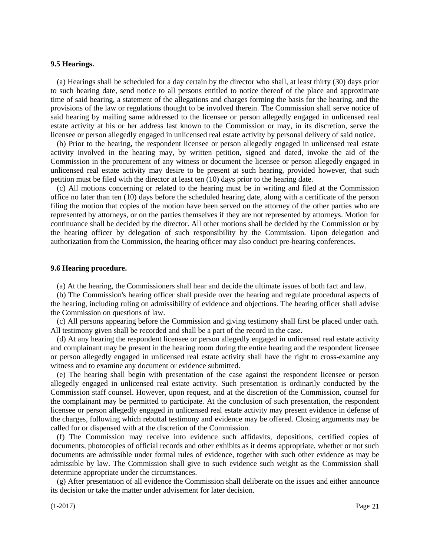#### **9.5 Hearings.**

(a) Hearings shall be scheduled for a day certain by the director who shall, at least thirty (30) days prior to such hearing date, send notice to all persons entitled to notice thereof of the place and approximate time of said hearing, a statement of the allegations and charges forming the basis for the hearing, and the provisions of the law or regulations thought to be involved therein. The Commission shall serve notice of said hearing by mailing same addressed to the licensee or person allegedly engaged in unlicensed real estate activity at his or her address last known to the Commission or may, in its discretion, serve the licensee or person allegedly engaged in unlicensed real estate activity by personal delivery of said notice.

(b) Prior to the hearing, the respondent licensee or person allegedly engaged in unlicensed real estate activity involved in the hearing may, by written petition, signed and dated, invoke the aid of the Commission in the procurement of any witness or document the licensee or person allegedly engaged in unlicensed real estate activity may desire to be present at such hearing, provided however, that such petition must be filed with the director at least ten (10) days prior to the hearing date.

(c) All motions concerning or related to the hearing must be in writing and filed at the Commission office no later than ten (10) days before the scheduled hearing date, along with a certificate of the person filing the motion that copies of the motion have been served on the attorney of the other parties who are represented by attorneys, or on the parties themselves if they are not represented by attorneys. Motion for continuance shall be decided by the director. All other motions shall be decided by the Commission or by the hearing officer by delegation of such responsibility by the Commission. Upon delegation and authorization from the Commission, the hearing officer may also conduct pre-hearing conferences.

#### **9.6 Hearing procedure.**

(a) At the hearing, the Commissioners shall hear and decide the ultimate issues of both fact and law.

(b) The Commission's hearing officer shall preside over the hearing and regulate procedural aspects of the hearing, including ruling on admissibility of evidence and objections. The hearing officer shall advise the Commission on questions of law.

(c) All persons appearing before the Commission and giving testimony shall first be placed under oath. All testimony given shall be recorded and shall be a part of the record in the case.

(d) At any hearing the respondent licensee or person allegedly engaged in unlicensed real estate activity and complainant may be present in the hearing room during the entire hearing and the respondent licensee or person allegedly engaged in unlicensed real estate activity shall have the right to cross-examine any witness and to examine any document or evidence submitted.

(e) The hearing shall begin with presentation of the case against the respondent licensee or person allegedly engaged in unlicensed real estate activity. Such presentation is ordinarily conducted by the Commission staff counsel. However, upon request, and at the discretion of the Commission, counsel for the complainant may be permitted to participate. At the conclusion of such presentation, the respondent licensee or person allegedly engaged in unlicensed real estate activity may present evidence in defense of the charges, following which rebuttal testimony and evidence may be offered. Closing arguments may be called for or dispensed with at the discretion of the Commission.

(f) The Commission may receive into evidence such affidavits, depositions, certified copies of documents, photocopies of official records and other exhibits as it deems appropriate, whether or not such documents are admissible under formal rules of evidence, together with such other evidence as may be admissible by law. The Commission shall give to such evidence such weight as the Commission shall determine appropriate under the circumstances.

(g) After presentation of all evidence the Commission shall deliberate on the issues and either announce its decision or take the matter under advisement for later decision.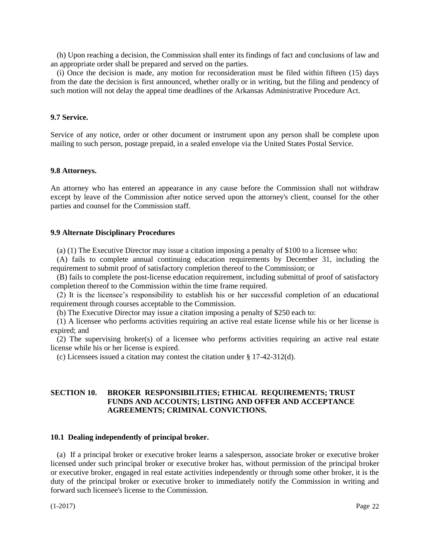(h) Upon reaching a decision, the Commission shall enter its findings of fact and conclusions of law and an appropriate order shall be prepared and served on the parties.

(i) Once the decision is made, any motion for reconsideration must be filed within fifteen (15) days from the date the decision is first announced, whether orally or in writing, but the filing and pendency of such motion will not delay the appeal time deadlines of the Arkansas Administrative Procedure Act.

## **9.7 Service.**

Service of any notice, order or other document or instrument upon any person shall be complete upon mailing to such person, postage prepaid, in a sealed envelope via the United States Postal Service.

#### **9.8 Attorneys.**

An attorney who has entered an appearance in any cause before the Commission shall not withdraw except by leave of the Commission after notice served upon the attorney's client, counsel for the other parties and counsel for the Commission staff.

#### **9.9 Alternate Disciplinary Procedures**

(a) (1) The Executive Director may issue a citation imposing a penalty of \$100 to a licensee who:

(A) fails to complete annual continuing education requirements by December 31, including the requirement to submit proof of satisfactory completion thereof to the Commission; or

(B) fails to complete the post-license education requirement, including submittal of proof of satisfactory completion thereof to the Commission within the time frame required.

(2) It is the licensee's responsibility to establish his or her successful completion of an educational requirement through courses acceptable to the Commission.

(b) The Executive Director may issue a citation imposing a penalty of \$250 each to:

(1) A licensee who performs activities requiring an active real estate license while his or her license is expired; and

(2) The supervising broker(s) of a licensee who performs activities requiring an active real estate license while his or her license is expired.

(c) Licensees issued a citation may contest the citation under § 17-42-312(d).

## **SECTION 10. BROKER RESPONSIBILITIES; ETHICAL REQUIREMENTS; TRUST FUNDS AND ACCOUNTS; LISTING AND OFFER AND ACCEPTANCE AGREEMENTS; CRIMINAL CONVICTIONS.**

#### **10.1 Dealing independently of principal broker.**

(a) If a principal broker or executive broker learns a salesperson, associate broker or executive broker licensed under such principal broker or executive broker has, without permission of the principal broker or executive broker, engaged in real estate activities independently or through some other broker, it is the duty of the principal broker or executive broker to immediately notify the Commission in writing and forward such licensee's license to the Commission.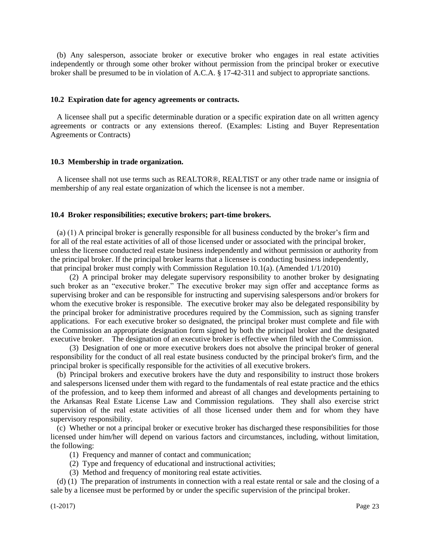(b) Any salesperson, associate broker or executive broker who engages in real estate activities independently or through some other broker without permission from the principal broker or executive broker shall be presumed to be in violation of A.C.A. § 17-42-311 and subject to appropriate sanctions.

#### **10.2 Expiration date for agency agreements or contracts.**

A licensee shall put a specific determinable duration or a specific expiration date on all written agency agreements or contracts or any extensions thereof. (Examples: Listing and Buyer Representation Agreements or Contracts)

#### **10.3 Membership in trade organization.**

A licensee shall not use terms such as REALTOR®, REALTIST or any other trade name or insignia of membership of any real estate organization of which the licensee is not a member.

#### **10.4 Broker responsibilities; executive brokers; part-time brokers.**

(a) (1) A principal broker is generally responsible for all business conducted by the broker's firm and for all of the real estate activities of all of those licensed under or associated with the principal broker, unless the licensee conducted real estate business independently and without permission or authority from the principal broker. If the principal broker learns that a licensee is conducting business independently, that principal broker must comply with Commission Regulation 10.1(a). (Amended 1/1/2010)

(2)A principal broker may delegate supervisory responsibility to another broker by designating such broker as an "executive broker." The executive broker may sign offer and acceptance forms as supervising broker and can be responsible for instructing and supervising salespersons and/or brokers for whom the executive broker is responsible. The executive broker may also be delegated responsibility by the principal broker for administrative procedures required by the Commission, such as signing transfer applications. For each executive broker so designated, the principal broker must complete and file with the Commission an appropriate designation form signed by both the principal broker and the designated executive broker. The designation of an executive broker is effective when filed with the Commission.

(3) Designation of one or more executive brokers does not absolve the principal broker of general responsibility for the conduct of all real estate business conducted by the principal broker's firm, and the principal broker is specifically responsible for the activities of all executive brokers.

(b) Principal brokers and executive brokers have the duty and responsibility to instruct those brokers and salespersons licensed under them with regard to the fundamentals of real estate practice and the ethics of the profession, and to keep them informed and abreast of all changes and developments pertaining to the Arkansas Real Estate License Law and Commission regulations. They shall also exercise strict supervision of the real estate activities of all those licensed under them and for whom they have supervisory responsibility.

(c) Whether or not a principal broker or executive broker has discharged these responsibilities for those licensed under him/her will depend on various factors and circumstances, including, without limitation, the following:

- (1) Frequency and manner of contact and communication;
- (2) Type and frequency of educational and instructional activities;
- (3) Method and frequency of monitoring real estate activities.

(d) (1) The preparation of instruments in connection with a real estate rental or sale and the closing of a sale by a licensee must be performed by or under the specific supervision of the principal broker.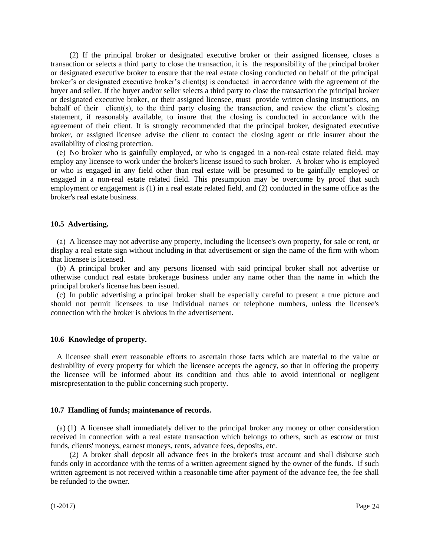(2) If the principal broker or designated executive broker or their assigned licensee, closes a transaction or selects a third party to close the transaction, it is the responsibility of the principal broker or designated executive broker to ensure that the real estate closing conducted on behalf of the principal broker's or designated executive broker's client(s) is conducted in accordance with the agreement of the buyer and seller. If the buyer and/or seller selects a third party to close the transaction the principal broker or designated executive broker, or their assigned licensee, must provide written closing instructions, on behalf of their client(s), to the third party closing the transaction, and review the client's closing statement, if reasonably available, to insure that the closing is conducted in accordance with the agreement of their client. It is strongly recommended that the principal broker, designated executive broker, or assigned licensee advise the client to contact the closing agent or title insurer about the availability of closing protection.

(e) No broker who is gainfully employed, or who is engaged in a non-real estate related field, may employ any licensee to work under the broker's license issued to such broker. A broker who is employed or who is engaged in any field other than real estate will be presumed to be gainfully employed or engaged in a non-real estate related field. This presumption may be overcome by proof that such employment or engagement is (1) in a real estate related field, and (2) conducted in the same office as the broker's real estate business.

#### **10.5 Advertising.**

(a) A licensee may not advertise any property, including the licensee's own property, for sale or rent, or display a real estate sign without including in that advertisement or sign the name of the firm with whom that licensee is licensed.

(b) A principal broker and any persons licensed with said principal broker shall not advertise or otherwise conduct real estate brokerage business under any name other than the name in which the principal broker's license has been issued.

(c) In public advertising a principal broker shall be especially careful to present a true picture and should not permit licensees to use individual names or telephone numbers, unless the licensee's connection with the broker is obvious in the advertisement.

#### **10.6 Knowledge of property.**

A licensee shall exert reasonable efforts to ascertain those facts which are material to the value or desirability of every property for which the licensee accepts the agency, so that in offering the property the licensee will be informed about its condition and thus able to avoid intentional or negligent misrepresentation to the public concerning such property.

#### **10.7 Handling of funds; maintenance of records.**

(a) (1) A licensee shall immediately deliver to the principal broker any money or other consideration received in connection with a real estate transaction which belongs to others, such as escrow or trust funds, clients' moneys, earnest moneys, rents, advance fees, deposits, etc.

(2) A broker shall deposit all advance fees in the broker's trust account and shall disburse such funds only in accordance with the terms of a written agreement signed by the owner of the funds. If such written agreement is not received within a reasonable time after payment of the advance fee, the fee shall be refunded to the owner.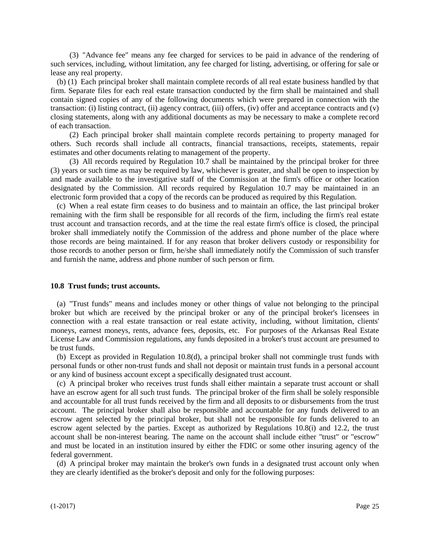(3) "Advance fee" means any fee charged for services to be paid in advance of the rendering of such services, including, without limitation, any fee charged for listing, advertising, or offering for sale or lease any real property.

(b) (1) Each principal broker shall maintain complete records of all real estate business handled by that firm. Separate files for each real estate transaction conducted by the firm shall be maintained and shall contain signed copies of any of the following documents which were prepared in connection with the transaction: (i) listing contract, (ii) agency contract, (iii) offers, (iv) offer and acceptance contracts and (v) closing statements, along with any additional documents as may be necessary to make a complete record of each transaction.

(2) Each principal broker shall maintain complete records pertaining to property managed for others. Such records shall include all contracts, financial transactions, receipts, statements, repair estimates and other documents relating to management of the property.

(3) All records required by Regulation 10.7 shall be maintained by the principal broker for three (3) years or such time as may be required by law, whichever is greater, and shall be open to inspection by and made available to the investigative staff of the Commission at the firm's office or other location designated by the Commission. All records required by Regulation 10.7 may be maintained in an electronic form provided that a copy of the records can be produced as required by this Regulation.

(c) When a real estate firm ceases to do business and to maintain an office, the last principal broker remaining with the firm shall be responsible for all records of the firm, including the firm's real estate trust account and transaction records, and at the time the real estate firm's office is closed, the principal broker shall immediately notify the Commission of the address and phone number of the place where those records are being maintained. If for any reason that broker delivers custody or responsibility for those records to another person or firm, he/she shall immediately notify the Commission of such transfer and furnish the name, address and phone number of such person or firm.

#### **10.8 Trust funds; trust accounts.**

(a) "Trust funds" means and includes money or other things of value not belonging to the principal broker but which are received by the principal broker or any of the principal broker's licensees in connection with a real estate transaction or real estate activity, including, without limitation, clients' moneys, earnest moneys, rents, advance fees, deposits, etc. For purposes of the Arkansas Real Estate License Law and Commission regulations, any funds deposited in a broker's trust account are presumed to be trust funds.

(b) Except as provided in Regulation 10.8(d), a principal broker shall not commingle trust funds with personal funds or other non-trust funds and shall not deposit or maintain trust funds in a personal account or any kind of business account except a specifically designated trust account.

(c) A principal broker who receives trust funds shall either maintain a separate trust account or shall have an escrow agent for all such trust funds. The principal broker of the firm shall be solely responsible and accountable for all trust funds received by the firm and all deposits to or disbursements from the trust account. The principal broker shall also be responsible and accountable for any funds delivered to an escrow agent selected by the principal broker, but shall not be responsible for funds delivered to an escrow agent selected by the parties. Except as authorized by Regulations 10.8(i) and 12.2, the trust account shall be non-interest bearing. The name on the account shall include either "trust" or "escrow" and must be located in an institution insured by either the FDIC or some other insuring agency of the federal government.

(d) A principal broker may maintain the broker's own funds in a designated trust account only when they are clearly identified as the broker's deposit and only for the following purposes: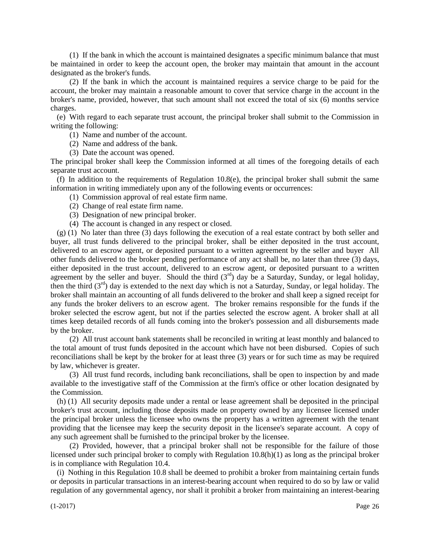(1) If the bank in which the account is maintained designates a specific minimum balance that must be maintained in order to keep the account open, the broker may maintain that amount in the account designated as the broker's funds.

(2) If the bank in which the account is maintained requires a service charge to be paid for the account, the broker may maintain a reasonable amount to cover that service charge in the account in the broker's name, provided, however, that such amount shall not exceed the total of six (6) months service charges.

(e) With regard to each separate trust account, the principal broker shall submit to the Commission in writing the following:

(1) Name and number of the account.

(2) Name and address of the bank.

(3) Date the account was opened.

The principal broker shall keep the Commission informed at all times of the foregoing details of each separate trust account.

(f) In addition to the requirements of Regulation  $10.8(e)$ , the principal broker shall submit the same information in writing immediately upon any of the following events or occurrences:

(1) Commission approval of real estate firm name.

- (2) Change of real estate firm name.
- (3) Designation of new principal broker.
- (4) The account is changed in any respect or closed.

(g) (1) No later than three (3) days following the execution of a real estate contract by both seller and buyer, all trust funds delivered to the principal broker, shall be either deposited in the trust account, delivered to an escrow agent, or deposited pursuant to a written agreement by the seller and buyer All other funds delivered to the broker pending performance of any act shall be, no later than three (3) days, either deposited in the trust account, delivered to an escrow agent, or deposited pursuant to a written agreement by the seller and buyer. Should the third  $(3<sup>rd</sup>)$  day be a Saturday, Sunday, or legal holiday, then the third  $(3<sup>rd</sup>)$  day is extended to the next day which is not a Saturday, Sunday, or legal holiday. The broker shall maintain an accounting of all funds delivered to the broker and shall keep a signed receipt for any funds the broker delivers to an escrow agent. The broker remains responsible for the funds if the broker selected the escrow agent, but not if the parties selected the escrow agent. A broker shall at all times keep detailed records of all funds coming into the broker's possession and all disbursements made by the broker.

(2) All trust account bank statements shall be reconciled in writing at least monthly and balanced to the total amount of trust funds deposited in the account which have not been disbursed. Copies of such reconciliations shall be kept by the broker for at least three (3) years or for such time as may be required by law, whichever is greater.

(3) All trust fund records, including bank reconciliations, shall be open to inspection by and made available to the investigative staff of the Commission at the firm's office or other location designated by the Commission.

(h) (1) All security deposits made under a rental or lease agreement shall be deposited in the principal broker's trust account, including those deposits made on property owned by any licensee licensed under the principal broker unless the licensee who owns the property has a written agreement with the tenant providing that the licensee may keep the security deposit in the licensee's separate account. A copy of any such agreement shall be furnished to the principal broker by the licensee.

(2) Provided, however, that a principal broker shall not be responsible for the failure of those licensed under such principal broker to comply with Regulation 10.8(h)(1) as long as the principal broker is in compliance with Regulation 10.4.

(i) Nothing in this Regulation 10.8 shall be deemed to prohibit a broker from maintaining certain funds or deposits in particular transactions in an interest-bearing account when required to do so by law or valid regulation of any governmental agency, nor shall it prohibit a broker from maintaining an interest-bearing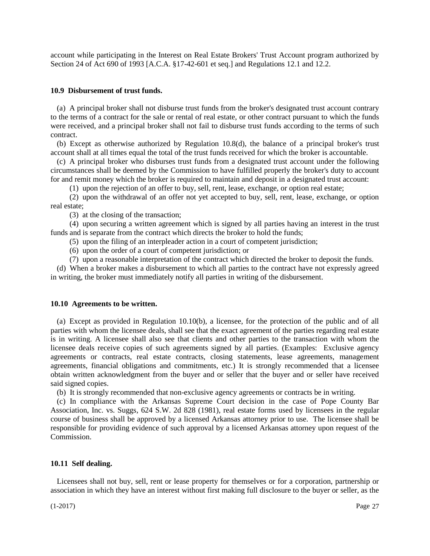account while participating in the Interest on Real Estate Brokers' Trust Account program authorized by Section 24 of Act 690 of 1993 [A.C.A. §17-42-601 et seq.] and Regulations 12.1 and 12.2.

#### **10.9 Disbursement of trust funds.**

(a) A principal broker shall not disburse trust funds from the broker's designated trust account contrary to the terms of a contract for the sale or rental of real estate, or other contract pursuant to which the funds were received, and a principal broker shall not fail to disburse trust funds according to the terms of such contract.

(b) Except as otherwise authorized by Regulation 10.8(d), the balance of a principal broker's trust account shall at all times equal the total of the trust funds received for which the broker is accountable.

(c) A principal broker who disburses trust funds from a designated trust account under the following circumstances shall be deemed by the Commission to have fulfilled properly the broker's duty to account for and remit money which the broker is required to maintain and deposit in a designated trust account:

(1) upon the rejection of an offer to buy, sell, rent, lease, exchange, or option real estate;

(2) upon the withdrawal of an offer not yet accepted to buy, sell, rent, lease, exchange, or option real estate;

(3) at the closing of the transaction;

(4) upon securing a written agreement which is signed by all parties having an interest in the trust funds and is separate from the contract which directs the broker to hold the funds;

- (5) upon the filing of an interpleader action in a court of competent jurisdiction;
- (6) upon the order of a court of competent jurisdiction; or
- (7) upon a reasonable interpretation of the contract which directed the broker to deposit the funds.

(d) When a broker makes a disbursement to which all parties to the contract have not expressly agreed in writing, the broker must immediately notify all parties in writing of the disbursement.

#### **10.10 Agreements to be written.**

(a) Except as provided in Regulation 10.10(b), a licensee, for the protection of the public and of all parties with whom the licensee deals, shall see that the exact agreement of the parties regarding real estate is in writing. A licensee shall also see that clients and other parties to the transaction with whom the licensee deals receive copies of such agreements signed by all parties. (Examples: Exclusive agency agreements or contracts, real estate contracts, closing statements, lease agreements, management agreements, financial obligations and commitments, etc.) It is strongly recommended that a licensee obtain written acknowledgment from the buyer and or seller that the buyer and or seller have received said signed copies.

(b) It is strongly recommended that non-exclusive agency agreements or contracts be in writing.

(c) In compliance with the Arkansas Supreme Court decision in the case of Pope County Bar Association, Inc. vs. Suggs, 624 S.W. 2d 828 (1981), real estate forms used by licensees in the regular course of business shall be approved by a licensed Arkansas attorney prior to use. The licensee shall be responsible for providing evidence of such approval by a licensed Arkansas attorney upon request of the Commission.

#### **10.11 Self dealing.**

Licensees shall not buy, sell, rent or lease property for themselves or for a corporation, partnership or association in which they have an interest without first making full disclosure to the buyer or seller, as the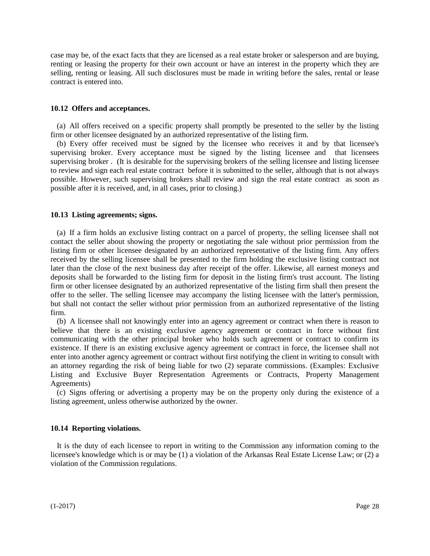case may be, of the exact facts that they are licensed as a real estate broker or salesperson and are buying, renting or leasing the property for their own account or have an interest in the property which they are selling, renting or leasing. All such disclosures must be made in writing before the sales, rental or lease contract is entered into.

#### **10.12 Offers and acceptances.**

(a) All offers received on a specific property shall promptly be presented to the seller by the listing firm or other licensee designated by an authorized representative of the listing firm.

(b) Every offer received must be signed by the licensee who receives it and by that licensee's supervising broker. Every acceptance must be signed by the listing licensee and that licensees supervising broker . (It is desirable for the supervising brokers of the selling licensee and listing licensee to review and sign each real estate contract before it is submitted to the seller, although that is not always possible. However, such supervising brokers shall review and sign the real estate contract as soon as possible after it is received, and, in all cases, prior to closing.)

#### **10.13 Listing agreements; signs.**

(a) If a firm holds an exclusive listing contract on a parcel of property, the selling licensee shall not contact the seller about showing the property or negotiating the sale without prior permission from the listing firm or other licensee designated by an authorized representative of the listing firm. Any offers received by the selling licensee shall be presented to the firm holding the exclusive listing contract not later than the close of the next business day after receipt of the offer. Likewise, all earnest moneys and deposits shall be forwarded to the listing firm for deposit in the listing firm's trust account. The listing firm or other licensee designated by an authorized representative of the listing firm shall then present the offer to the seller. The selling licensee may accompany the listing licensee with the latter's permission, but shall not contact the seller without prior permission from an authorized representative of the listing firm.

(b) A licensee shall not knowingly enter into an agency agreement or contract when there is reason to believe that there is an existing exclusive agency agreement or contract in force without first communicating with the other principal broker who holds such agreement or contract to confirm its existence. If there is an existing exclusive agency agreement or contract in force, the licensee shall not enter into another agency agreement or contract without first notifying the client in writing to consult with an attorney regarding the risk of being liable for two (2) separate commissions. (Examples: Exclusive Listing and Exclusive Buyer Representation Agreements or Contracts, Property Management Agreements)

(c) Signs offering or advertising a property may be on the property only during the existence of a listing agreement, unless otherwise authorized by the owner.

#### **10.14 Reporting violations.**

It is the duty of each licensee to report in writing to the Commission any information coming to the licensee's knowledge which is or may be (1) a violation of the Arkansas Real Estate License Law; or (2) a violation of the Commission regulations.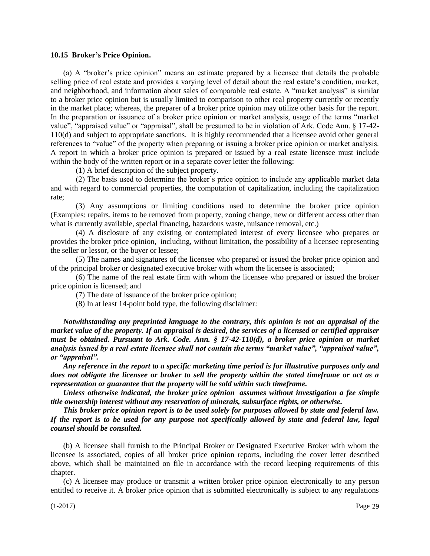#### **10.15 Broker's Price Opinion.**

(a) A "broker's price opinion" means an estimate prepared by a licensee that details the probable selling price of real estate and provides a varying level of detail about the real estate's condition, market, and neighborhood, and information about sales of comparable real estate. A "market analysis" is similar to a broker price opinion but is usually limited to comparison to other real property currently or recently in the market place; whereas, the preparer of a broker price opinion may utilize other basis for the report. In the preparation or issuance of a broker price opinion or market analysis, usage of the terms "market value", "appraised value" or "appraisal", shall be presumed to be in violation of Ark. Code Ann. § 17-42-110(d) and subject to appropriate sanctions. It is highly recommended that a licensee avoid other general references to "value" of the property when preparing or issuing a broker price opinion or market analysis. A report in which a broker price opinion is prepared or issued by a real estate licensee must include within the body of the written report or in a separate cover letter the following:

(1) A brief description of the subject property.

(2) The basis used to determine the broker's price opinion to include any applicable market data and with regard to commercial properties, the computation of capitalization, including the capitalization rate;

(3) Any assumptions or limiting conditions used to determine the broker price opinion (Examples: repairs, items to be removed from property, zoning change, new or different access other than what is currently available, special financing, hazardous waste, nuisance removal, etc.)

(4) A disclosure of any existing or contemplated interest of every licensee who prepares or provides the broker price opinion, including, without limitation, the possibility of a licensee representing the seller or lessor, or the buyer or lessee;

(5) The names and signatures of the licensee who prepared or issued the broker price opinion and of the principal broker or designated executive broker with whom the licensee is associated;

(6) The name of the real estate firm with whom the licensee who prepared or issued the broker price opinion is licensed; and

(7) The date of issuance of the broker price opinion;

(8) In at least 14-point bold type, the following disclaimer:

*Notwithstanding any preprinted language to the contrary, this opinion is not an appraisal of the market value of the property. If an appraisal is desired, the services of a licensed or certified appraiser must be obtained. Pursuant to Ark. Code. Ann. § 17-42-110(d), a broker price opinion or market analysis issued by a real estate licensee shall not contain the terms "market value", "appraised value", or "appraisal".* 

*Any reference in the report to a specific marketing time period is for illustrative purposes only and does not obligate the licensee or broker to sell the property within the stated timeframe or act as a representation or guarantee that the property will be sold within such timeframe.*

*Unless otherwise indicated, the broker price opinion assumes without investigation a fee simple title ownership interest without any reservation of minerals, subsurface rights, or otherwise.* 

*This broker price opinion report is to be used solely for purposes allowed by state and federal law. If the report is to be used for any purpose not specifically allowed by state and federal law, legal counsel should be consulted.*

(b) A licensee shall furnish to the Principal Broker or Designated Executive Broker with whom the licensee is associated, copies of all broker price opinion reports, including the cover letter described above, which shall be maintained on file in accordance with the record keeping requirements of this chapter.

(c) A licensee may produce or transmit a written broker price opinion electronically to any person entitled to receive it. A broker price opinion that is submitted electronically is subject to any regulations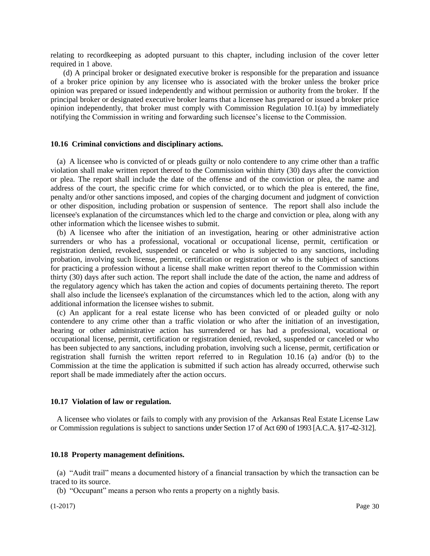relating to recordkeeping as adopted pursuant to this chapter, including inclusion of the cover letter required in 1 above.

(d) A principal broker or designated executive broker is responsible for the preparation and issuance of a broker price opinion by any licensee who is associated with the broker unless the broker price opinion was prepared or issued independently and without permission or authority from the broker. If the principal broker or designated executive broker learns that a licensee has prepared or issued a broker price opinion independently, that broker must comply with Commission Regulation 10.1(a) by immediately notifying the Commission in writing and forwarding such licensee's license to the Commission.

#### **10.16 Criminal convictions and disciplinary actions.**

(a) A licensee who is convicted of or pleads guilty or nolo contendere to any crime other than a traffic violation shall make written report thereof to the Commission within thirty (30) days after the conviction or plea. The report shall include the date of the offense and of the conviction or plea, the name and address of the court, the specific crime for which convicted, or to which the plea is entered, the fine, penalty and/or other sanctions imposed, and copies of the charging document and judgment of conviction or other disposition, including probation or suspension of sentence. The report shall also include the licensee's explanation of the circumstances which led to the charge and conviction or plea, along with any other information which the licensee wishes to submit.

(b) A licensee who after the initiation of an investigation, hearing or other administrative action surrenders or who has a professional, vocational or occupational license, permit, certification or registration denied, revoked, suspended or canceled or who is subjected to any sanctions, including probation, involving such license, permit, certification or registration or who is the subject of sanctions for practicing a profession without a license shall make written report thereof to the Commission within thirty (30) days after such action. The report shall include the date of the action, the name and address of the regulatory agency which has taken the action and copies of documents pertaining thereto. The report shall also include the licensee's explanation of the circumstances which led to the action, along with any additional information the licensee wishes to submit.

(c) An applicant for a real estate license who has been convicted of or pleaded guilty or nolo contendere to any crime other than a traffic violation or who after the initiation of an investigation, hearing or other administrative action has surrendered or has had a professional, vocational or occupational license, permit, certification or registration denied, revoked, suspended or canceled or who has been subjected to any sanctions, including probation, involving such a license, permit, certification or registration shall furnish the written report referred to in Regulation 10.16 (a) and/or (b) to the Commission at the time the application is submitted if such action has already occurred, otherwise such report shall be made immediately after the action occurs.

#### **10.17 Violation of law or regulation.**

A licensee who violates or fails to comply with any provision of the Arkansas Real Estate License Law or Commission regulations is subject to sanctions under Section 17 of Act 690 of 1993 [A.C.A. §17-42-312].

#### **10.18 Property management definitions.**

(a) "Audit trail" means a documented history of a financial transaction by which the transaction can be traced to its source.

(b) "Occupant" means a person who rents a property on a nightly basis.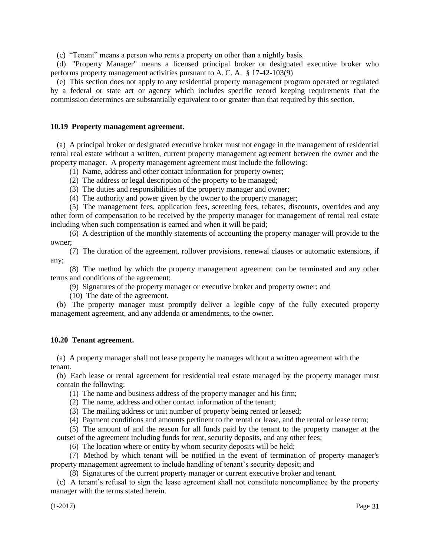(c) "Tenant" means a person who rents a property on other than a nightly basis.

(d) "Property Manager" means a licensed principal broker or designated executive broker who performs property management activities pursuant to A. C. A. § 17-42-103(9)

(e) This section does not apply to any residential property management program operated or regulated by a federal or state act or agency which includes specific record keeping requirements that the commission determines are substantially equivalent to or greater than that required by this section.

#### **10.19 Property management agreement.**

(a) A principal broker or designated executive broker must not engage in the management of residential rental real estate without a written, current property management agreement between the owner and the property manager. A property management agreement must include the following:

(1) Name, address and other contact information for property owner;

(2) The address or legal description of the property to be managed;

(3) The duties and responsibilities of the property manager and owner;

(4) The authority and power given by the owner to the property manager;

(5) The management fees, application fees, screening fees, rebates, discounts, overrides and any other form of compensation to be received by the property manager for management of rental real estate including when such compensation is earned and when it will be paid;

(6) A description of the monthly statements of accounting the property manager will provide to the owner;

(7) The duration of the agreement, rollover provisions, renewal clauses or automatic extensions, if any;

(8) The method by which the property management agreement can be terminated and any other terms and conditions of the agreement;

(9) Signatures of the property manager or executive broker and property owner; and

(10) The date of the agreement.

(b) The property manager must promptly deliver a legible copy of the fully executed property management agreement, and any addenda or amendments, to the owner.

## **10.20 Tenant agreement.**

(a)A property manager shall not lease property he manages without a written agreement with the tenant.

(b) Each lease or rental agreement for residential real estate managed by the property manager must contain the following:

(1) The name and business address of the property manager and his firm;

(2) The name, address and other contact information of the tenant;

(3) The mailing address or unit number of property being rented or leased;

(4) Payment conditions and amounts pertinent to the rental or lease, and the rental or lease term;

(5) The amount of and the reason for all funds paid by the tenant to the property manager at the outset of the agreement including funds for rent, security deposits, and any other fees;

(6) The location where or entity by whom security deposits will be held;

(7) Method by which tenant will be notified in the event of termination of property manager's property management agreement to include handling of tenant's security deposit; and

(8) Signatures of the current property manager or current executive broker and tenant.

 (c) A tenant's refusal to sign the lease agreement shall not constitute noncompliance by the property manager with the terms stated herein.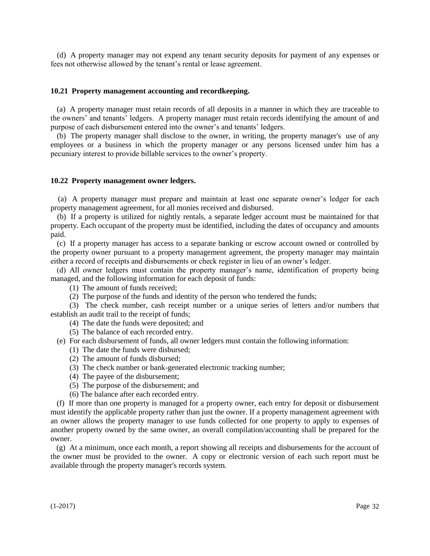(d) A property manager may not expend any tenant security deposits for payment of any expenses or fees not otherwise allowed by the tenant's rental or lease agreement.

#### **10.21 Property management accounting and recordkeeping.**

(a) A property manager must retain records of all deposits in a manner in which they are traceable to the owners' and tenants' ledgers. A property manager must retain records identifying the amount of and purpose of each disbursement entered into the owner's and tenants' ledgers.

(b) The property manager shall disclose to the owner, in writing, the property manager's use of any employees or a business in which the property manager or any persons licensed under him has a pecuniary interest to provide billable services to the owner's property.

#### **10.22 Property management owner ledgers.**

(a) A property manager must prepare and maintain at least one separate owner's ledger for each property management agreement, for all monies received and disbursed.

 (b) If a property is utilized for nightly rentals, a separate ledger account must be maintained for that property. Each occupant of the property must be identified, including the dates of occupancy and amounts paid.

 (c) If a property manager has access to a separate banking or escrow account owned or controlled by the property owner pursuant to a property management agreement, the property manager may maintain either a record of receipts and disbursements or check register in lieu of an owner's ledger.

(d) All owner ledgers must contain the property manager's name, identification of property being managed, and the following information for each deposit of funds:

- (1) The amount of funds received;
- (2) The purpose of the funds and identity of the person who tendered the funds;

(3) The check number, cash receipt number or a unique series of letters and/or numbers that establish an audit trail to the receipt of funds;

- (4) The date the funds were deposited; and
- (5) The balance of each recorded entry.
- (e) For each disbursement of funds, all owner ledgers must contain the following information:
	- (1) The date the funds were disbursed;
	- (2) The amount of funds disbursed;
	- (3) The check number or bank-generated electronic tracking number;
	- (4) The payee of the disbursement;
	- (5) The purpose of the disbursement; and
	- (6) The balance after each recorded entry.

 (f) If more than one property is managed for a property owner, each entry for deposit or disbursement must identify the applicable property rather than just the owner. If a property management agreement with an owner allows the property manager to use funds collected for one property to apply to expenses of another property owned by the same owner, an overall compilation/accounting shall be prepared for the owner.

 (g) At a minimum, once each month, a report showing all receipts and disbursements for the account of the owner must be provided to the owner. A copy or electronic version of each such report must be available through the property manager's records system.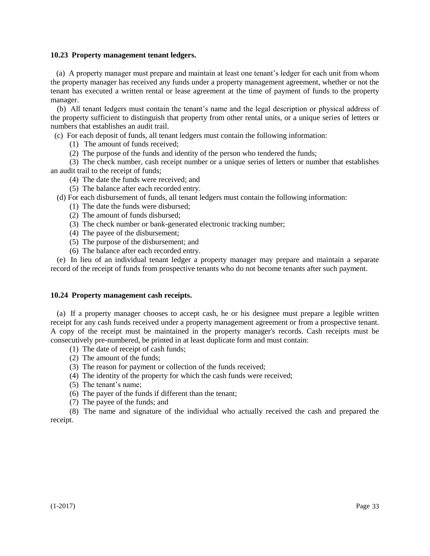#### **10.23 Property management tenant ledgers.**

(a) A property manager must prepare and maintain at least one tenant's ledger for each unit from whom the property manager has received any funds under a property management agreement, whether or not the tenant has executed a written rental or lease agreement at the time of payment of funds to the property manager.

 (b) All tenant ledgers must contain the tenant's name and the legal description or physical address of the property sufficient to distinguish that property from other rental units, or a unique series of letters or numbers that establishes an audit trail.

(c) For each deposit of funds, all tenant ledgers must contain the following information:

- (1) The amount of funds received;
- (2) The purpose of the funds and identity of the person who tendered the funds;

(3) The check number, cash receipt number or a unique series of letters or number that establishes an audit trail to the receipt of funds;

- (4) The date the funds were received; and
- (5) The balance after each recorded entry.
- (d) For each disbursement of funds, all tenant ledgers must contain the following information:
	- (1) The date the funds were disbursed;
	- (2) The amount of funds disbursed;
	- (3) The check number or bank-generated electronic tracking number;
	- (4) The payee of the disbursement;
	- (5) The purpose of the disbursement; and
	- (6) The balance after each recorded entry.

(e) In lieu of an individual tenant ledger a property manager may prepare and maintain a separate record of the receipt of funds from prospective tenants who do not become tenants after such payment.

#### **10.24 Property management cash receipts.**

(a) If a property manager chooses to accept cash, he or his designee must prepare a legible written receipt for any cash funds received under a property management agreement or from a prospective tenant. A copy of the receipt must be maintained in the property manager's records. Cash receipts must be consecutively pre-numbered, be printed in at least duplicate form and must contain:

- (1) The date of receipt of cash funds;
- (2) The amount of the funds;
- (3) The reason for payment or collection of the funds received;
- (4) The identity of the property for which the cash funds were received;
- (5) The tenant's name;
- (6) The payer of the funds if different than the tenant;
- (7) The payee of the funds; and

(8) The name and signature of the individual who actually received the cash and prepared the receipt.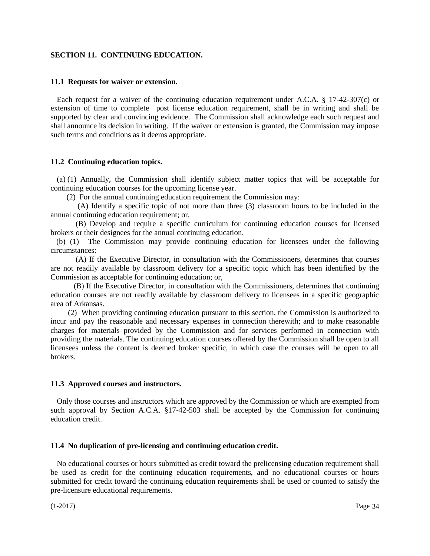#### **SECTION 11. CONTINUING EDUCATION.**

#### **11.1 Requests for waiver or extension.**

Each request for a waiver of the continuing education requirement under A.C.A. § 17-42-307(c) or extension of time to complete post license education requirement, shall be in writing and shall be supported by clear and convincing evidence. The Commission shall acknowledge each such request and shall announce its decision in writing. If the waiver or extension is granted, the Commission may impose such terms and conditions as it deems appropriate.

#### **11.2 Continuing education topics.**

 (a) (1) Annually, the Commission shall identify subject matter topics that will be acceptable for continuing education courses for the upcoming license year.

(2) For the annual continuing education requirement the Commission may:

 (A) Identify a specific topic of not more than three (3) classroom hours to be included in the annual continuing education requirement; or,

 (B) Develop and require a specific curriculum for continuing education courses for licensed brokers or their designees for the annual continuing education.

 (b) (1) The Commission may provide continuing education for licensees under the following circumstances:

 (A) If the Executive Director, in consultation with the Commissioners, determines that courses are not readily available by classroom delivery for a specific topic which has been identified by the Commission as acceptable for continuing education; or,

 (B) If the Executive Director, in consultation with the Commissioners, determines that continuing education courses are not readily available by classroom delivery to licensees in a specific geographic area of Arkansas.

 (2) When providing continuing education pursuant to this section, the Commission is authorized to incur and pay the reasonable and necessary expenses in connection therewith; and to make reasonable charges for materials provided by the Commission and for services performed in connection with providing the materials. The continuing education courses offered by the Commission shall be open to all licensees unless the content is deemed broker specific, in which case the courses will be open to all brokers.

#### **11.3 Approved courses and instructors.**

Only those courses and instructors which are approved by the Commission or which are exempted from such approval by Section A.C.A. §17-42-503 shall be accepted by the Commission for continuing education credit.

#### **11.4 No duplication of pre-licensing and continuing education credit.**

No educational courses or hours submitted as credit toward the prelicensing education requirement shall be used as credit for the continuing education requirements, and no educational courses or hours submitted for credit toward the continuing education requirements shall be used or counted to satisfy the pre-licensure educational requirements.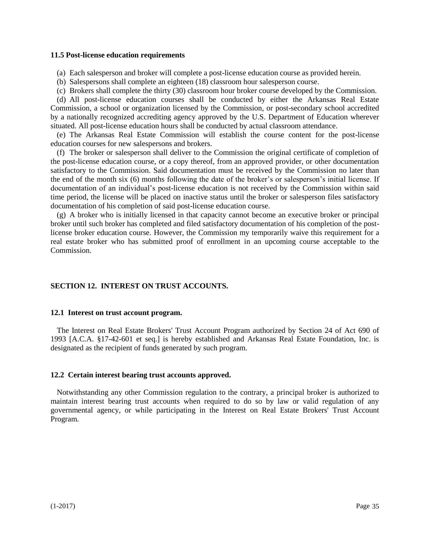#### **11.5 Post-license education requirements**

(a) Each salesperson and broker will complete a post-license education course as provided herein.

(b) Salespersons shall complete an eighteen (18) classroom hour salesperson course.

(c) Brokers shall complete the thirty (30) classroom hour broker course developed by the Commission.

(d) All post-license education courses shall be conducted by either the Arkansas Real Estate Commission, a school or organization licensed by the Commission, or post-secondary school accredited by a nationally recognized accrediting agency approved by the U.S. Department of Education wherever situated. All post-license education hours shall be conducted by actual classroom attendance.

(e) The Arkansas Real Estate Commission will establish the course content for the post-license education courses for new salespersons and brokers.

(f) The broker or salesperson shall deliver to the Commission the original certificate of completion of the post-license education course, or a copy thereof, from an approved provider, or other documentation satisfactory to the Commission. Said documentation must be received by the Commission no later than the end of the month six (6) months following the date of the broker's or salesperson's initial license. If documentation of an individual's post-license education is not received by the Commission within said time period, the license will be placed on inactive status until the broker or salesperson files satisfactory documentation of his completion of said post-license education course.

(g) A broker who is initially licensed in that capacity cannot become an executive broker or principal broker until such broker has completed and filed satisfactory documentation of his completion of the postlicense broker education course. However, the Commission my temporarily waive this requirement for a real estate broker who has submitted proof of enrollment in an upcoming course acceptable to the Commission.

## **SECTION 12. INTEREST ON TRUST ACCOUNTS.**

#### **12.1 Interest on trust account program.**

The Interest on Real Estate Brokers' Trust Account Program authorized by Section 24 of Act 690 of 1993 [A.C.A. §17-42-601 et seq.] is hereby established and Arkansas Real Estate Foundation, Inc. is designated as the recipient of funds generated by such program.

#### **12.2 Certain interest bearing trust accounts approved.**

Notwithstanding any other Commission regulation to the contrary, a principal broker is authorized to maintain interest bearing trust accounts when required to do so by law or valid regulation of any governmental agency, or while participating in the Interest on Real Estate Brokers' Trust Account Program.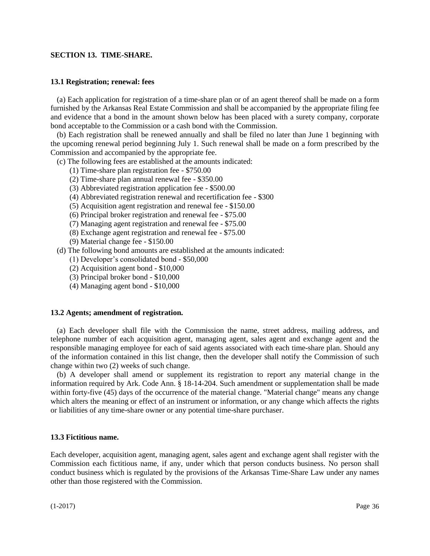## **SECTION 13. TIME-SHARE.**

#### **13.1 Registration; renewal: fees**

(a) Each application for registration of a time-share plan or of an agent thereof shall be made on a form furnished by the Arkansas Real Estate Commission and shall be accompanied by the appropriate filing fee and evidence that a bond in the amount shown below has been placed with a surety company, corporate bond acceptable to the Commission or a cash bond with the Commission.

(b) Each registration shall be renewed annually and shall be filed no later than June 1 beginning with the upcoming renewal period beginning July 1. Such renewal shall be made on a form prescribed by the Commission and accompanied by the appropriate fee.

(c) The following fees are established at the amounts indicated:

- (1) Time-share plan registration fee \$750.00
- (2) Time-share plan annual renewal fee \$350.00
- (3) Abbreviated registration application fee \$500.00
- (4) Abbreviated registration renewal and recertification fee \$300
- (5) Acquisition agent registration and renewal fee \$150.00
- (6) Principal broker registration and renewal fee \$75.00
- (7) Managing agent registration and renewal fee \$75.00
- (8) Exchange agent registration and renewal fee \$75.00
- (9) Material change fee \$150.00
- (d) The following bond amounts are established at the amounts indicated:
	- (1) Developer's consolidated bond \$50,000
	- (2) Acquisition agent bond \$10,000
	- (3) Principal broker bond \$10,000
	- (4) Managing agent bond \$10,000

#### **13.2 Agents; amendment of registration.**

(a) Each developer shall file with the Commission the name, street address, mailing address, and telephone number of each acquisition agent, managing agent, sales agent and exchange agent and the responsible managing employee for each of said agents associated with each time-share plan. Should any of the information contained in this list change, then the developer shall notify the Commission of such change within two (2) weeks of such change.

(b) A developer shall amend or supplement its registration to report any material change in the information required by Ark. Code Ann. § 18-14-204. Such amendment or supplementation shall be made within forty-five (45) days of the occurrence of the material change. "Material change" means any change which alters the meaning or effect of an instrument or information, or any change which affects the rights or liabilities of any time-share owner or any potential time-share purchaser.

#### **13.3 Fictitious name.**

Each developer, acquisition agent, managing agent, sales agent and exchange agent shall register with the Commission each fictitious name, if any, under which that person conducts business. No person shall conduct business which is regulated by the provisions of the Arkansas Time-Share Law under any names other than those registered with the Commission.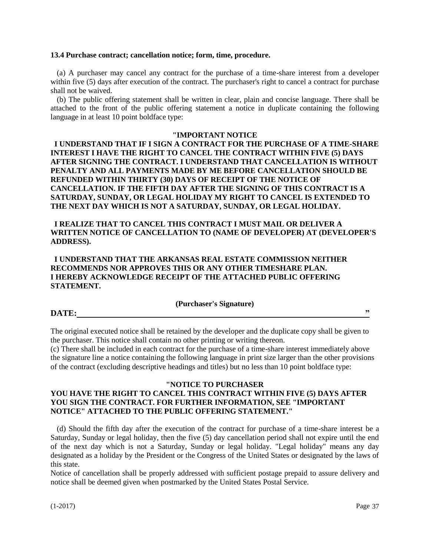#### **13.4 Purchase contract; cancellation notice; form, time, procedure.**

(a) A purchaser may cancel any contract for the purchase of a time-share interest from a developer within five (5) days after execution of the contract. The purchaser's right to cancel a contract for purchase shall not be waived.

(b) The public offering statement shall be written in clear, plain and concise language. There shall be attached to the front of the public offering statement a notice in duplicate containing the following language in at least 10 point boldface type:

#### **"IMPORTANT NOTICE**

 **I UNDERSTAND THAT IF I SIGN A CONTRACT FOR THE PURCHASE OF A TIME-SHARE INTEREST I HAVE THE RIGHT TO CANCEL THE CONTRACT WITHIN FIVE (5) DAYS AFTER SIGNING THE CONTRACT. I UNDERSTAND THAT CANCELLATION IS WITHOUT PENALTY AND ALL PAYMENTS MADE BY ME BEFORE CANCELLATION SHOULD BE REFUNDED WITHIN THIRTY (30) DAYS OF RECEIPT OF THE NOTICE OF CANCELLATION. IF THE FIFTH DAY AFTER THE SIGNING OF THIS CONTRACT IS A SATURDAY, SUNDAY, OR LEGAL HOLIDAY MY RIGHT TO CANCEL IS EXTENDED TO THE NEXT DAY WHICH IS NOT A SATURDAY, SUNDAY, OR LEGAL HOLIDAY.** 

 **I REALIZE THAT TO CANCEL THIS CONTRACT I MUST MAIL OR DELIVER A WRITTEN NOTICE OF CANCELLATION TO (NAME OF DEVELOPER) AT (DEVELOPER'S ADDRESS).** 

 **I UNDERSTAND THAT THE ARKANSAS REAL ESTATE COMMISSION NEITHER RECOMMENDS NOR APPROVES THIS OR ANY OTHER TIMESHARE PLAN. I HEREBY ACKNOWLEDGE RECEIPT OF THE ATTACHED PUBLIC OFFERING STATEMENT.** 

**(Purchaser's Signature) DATE: "**

The original executed notice shall be retained by the developer and the duplicate copy shall be given to the purchaser. This notice shall contain no other printing or writing thereon.

(c) There shall be included in each contract for the purchase of a time-share interest immediately above the signature line a notice containing the following language in print size larger than the other provisions of the contract (excluding descriptive headings and titles) but no less than 10 point boldface type:

## **"NOTICE TO PURCHASER**

## **YOU HAVE THE RIGHT TO CANCEL THIS CONTRACT WITHIN FIVE (5) DAYS AFTER YOU SIGN THE CONTRACT. FOR FURTHER INFORMATION, SEE "IMPORTANT NOTICE" ATTACHED TO THE PUBLIC OFFERING STATEMENT."**

(d) Should the fifth day after the execution of the contract for purchase of a time-share interest be a Saturday, Sunday or legal holiday, then the five (5) day cancellation period shall not expire until the end of the next day which is not a Saturday, Sunday or legal holiday. "Legal holiday" means any day designated as a holiday by the President or the Congress of the United States or designated by the laws of this state.

Notice of cancellation shall be properly addressed with sufficient postage prepaid to assure delivery and notice shall be deemed given when postmarked by the United States Postal Service.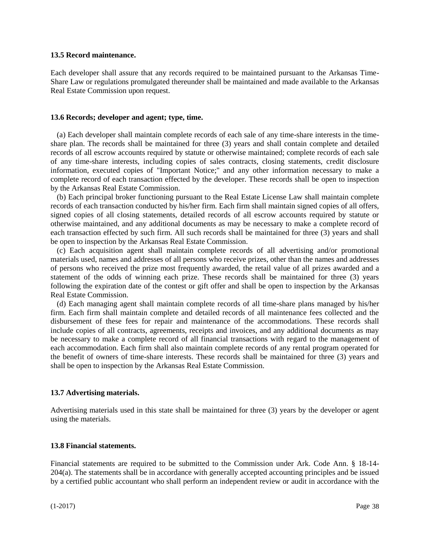#### **13.5 Record maintenance.**

Each developer shall assure that any records required to be maintained pursuant to the Arkansas Time-Share Law or regulations promulgated thereunder shall be maintained and made available to the Arkansas Real Estate Commission upon request.

#### **13.6 Records; developer and agent; type, time.**

(a) Each developer shall maintain complete records of each sale of any time-share interests in the timeshare plan. The records shall be maintained for three (3) years and shall contain complete and detailed records of all escrow accounts required by statute or otherwise maintained; complete records of each sale of any time-share interests, including copies of sales contracts, closing statements, credit disclosure information, executed copies of "Important Notice;" and any other information necessary to make a complete record of each transaction effected by the developer. These records shall be open to inspection by the Arkansas Real Estate Commission.

(b) Each principal broker functioning pursuant to the Real Estate License Law shall maintain complete records of each transaction conducted by his/her firm. Each firm shall maintain signed copies of all offers, signed copies of all closing statements, detailed records of all escrow accounts required by statute or otherwise maintained, and any additional documents as may be necessary to make a complete record of each transaction effected by such firm. All such records shall be maintained for three (3) years and shall be open to inspection by the Arkansas Real Estate Commission.

(c) Each acquisition agent shall maintain complete records of all advertising and/or promotional materials used, names and addresses of all persons who receive prizes, other than the names and addresses of persons who received the prize most frequently awarded, the retail value of all prizes awarded and a statement of the odds of winning each prize. These records shall be maintained for three (3) years following the expiration date of the contest or gift offer and shall be open to inspection by the Arkansas Real Estate Commission.

(d) Each managing agent shall maintain complete records of all time-share plans managed by his/her firm. Each firm shall maintain complete and detailed records of all maintenance fees collected and the disbursement of these fees for repair and maintenance of the accommodations. These records shall include copies of all contracts, agreements, receipts and invoices, and any additional documents as may be necessary to make a complete record of all financial transactions with regard to the management of each accommodation. Each firm shall also maintain complete records of any rental program operated for the benefit of owners of time-share interests. These records shall be maintained for three (3) years and shall be open to inspection by the Arkansas Real Estate Commission.

## **13.7 Advertising materials.**

Advertising materials used in this state shall be maintained for three (3) years by the developer or agent using the materials.

## **13.8 Financial statements.**

Financial statements are required to be submitted to the Commission under Ark. Code Ann. § 18-14- 204(a). The statements shall be in accordance with generally accepted accounting principles and be issued by a certified public accountant who shall perform an independent review or audit in accordance with the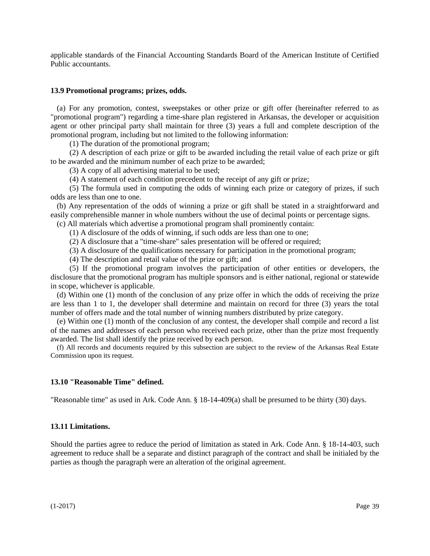applicable standards of the Financial Accounting Standards Board of the American Institute of Certified Public accountants.

## **13.9 Promotional programs; prizes, odds.**

(a) For any promotion, contest, sweepstakes or other prize or gift offer (hereinafter referred to as "promotional program") regarding a time-share plan registered in Arkansas, the developer or acquisition agent or other principal party shall maintain for three (3) years a full and complete description of the promotional program, including but not limited to the following information:

(1) The duration of the promotional program;

(2) A description of each prize or gift to be awarded including the retail value of each prize or gift to be awarded and the minimum number of each prize to be awarded;

(3) A copy of all advertising material to be used;

(4) A statement of each condition precedent to the receipt of any gift or prize;

(5) The formula used in computing the odds of winning each prize or category of prizes, if such odds are less than one to one.

(b) Any representation of the odds of winning a prize or gift shall be stated in a straightforward and easily comprehensible manner in whole numbers without the use of decimal points or percentage signs.

(c) All materials which advertise a promotional program shall prominently contain:

(1) A disclosure of the odds of winning, if such odds are less than one to one;

(2) A disclosure that a "time-share" sales presentation will be offered or required;

(3) A disclosure of the qualifications necessary for participation in the promotional program;

(4) The description and retail value of the prize or gift; and

(5) If the promotional program involves the participation of other entities or developers, the disclosure that the promotional program has multiple sponsors and is either national, regional or statewide in scope, whichever is applicable.

(d) Within one (1) month of the conclusion of any prize offer in which the odds of receiving the prize are less than 1 to 1, the developer shall determine and maintain on record for three (3) years the total number of offers made and the total number of winning numbers distributed by prize category.

(e) Within one (1) month of the conclusion of any contest, the developer shall compile and record a list of the names and addresses of each person who received each prize, other than the prize most frequently awarded. The list shall identify the prize received by each person.

(f) All records and documents required by this subsection are subject to the review of the Arkansas Real Estate Commission upon its request.

## **13.10 "Reasonable Time" defined.**

"Reasonable time" as used in Ark. Code Ann. § 18-14-409(a) shall be presumed to be thirty (30) days.

## **13.11 Limitations.**

Should the parties agree to reduce the period of limitation as stated in Ark. Code Ann. § 18-14-403, such agreement to reduce shall be a separate and distinct paragraph of the contract and shall be initialed by the parties as though the paragraph were an alteration of the original agreement.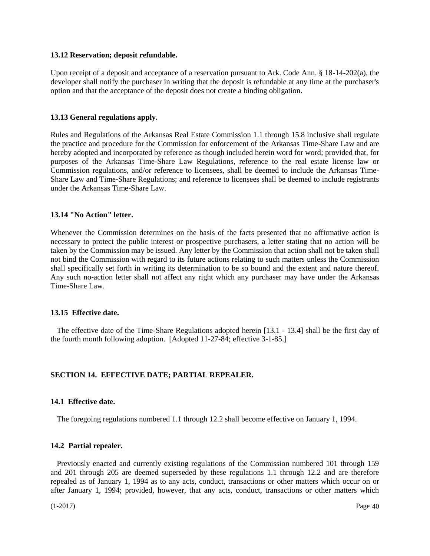#### **13.12 Reservation; deposit refundable.**

Upon receipt of a deposit and acceptance of a reservation pursuant to Ark. Code Ann. § 18-14-202(a), the developer shall notify the purchaser in writing that the deposit is refundable at any time at the purchaser's option and that the acceptance of the deposit does not create a binding obligation.

#### **13.13 General regulations apply.**

Rules and Regulations of the Arkansas Real Estate Commission 1.1 through 15.8 inclusive shall regulate the practice and procedure for the Commission for enforcement of the Arkansas Time-Share Law and are hereby adopted and incorporated by reference as though included herein word for word; provided that, for purposes of the Arkansas Time-Share Law Regulations, reference to the real estate license law or Commission regulations, and/or reference to licensees, shall be deemed to include the Arkansas Time-Share Law and Time-Share Regulations; and reference to licensees shall be deemed to include registrants under the Arkansas Time-Share Law.

#### **13.14 "No Action" letter.**

Whenever the Commission determines on the basis of the facts presented that no affirmative action is necessary to protect the public interest or prospective purchasers, a letter stating that no action will be taken by the Commission may be issued. Any letter by the Commission that action shall not be taken shall not bind the Commission with regard to its future actions relating to such matters unless the Commission shall specifically set forth in writing its determination to be so bound and the extent and nature thereof. Any such no-action letter shall not affect any right which any purchaser may have under the Arkansas Time-Share Law.

#### **13.15 Effective date.**

The effective date of the Time-Share Regulations adopted herein [13.1 - 13.4] shall be the first day of the fourth month following adoption. [Adopted 11-27-84; effective 3-1-85.]

## **SECTION 14. EFFECTIVE DATE; PARTIAL REPEALER.**

#### **14.1 Effective date.**

The foregoing regulations numbered 1.1 through 12.2 shall become effective on January 1, 1994.

#### **14.2 Partial repealer.**

Previously enacted and currently existing regulations of the Commission numbered 101 through 159 and 201 through 205 are deemed superseded by these regulations 1.1 through 12.2 and are therefore repealed as of January 1, 1994 as to any acts, conduct, transactions or other matters which occur on or after January 1, 1994; provided, however, that any acts, conduct, transactions or other matters which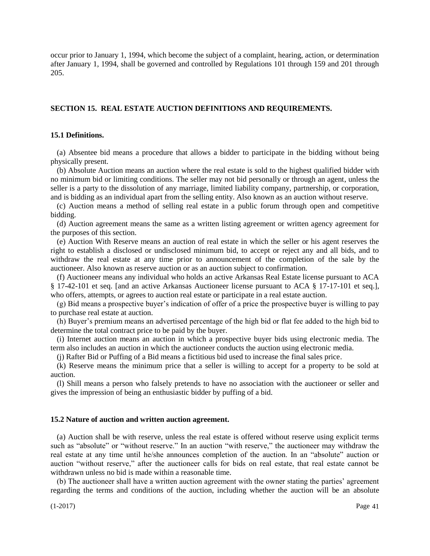occur prior to January 1, 1994, which become the subject of a complaint, hearing, action, or determination after January 1, 1994, shall be governed and controlled by Regulations 101 through 159 and 201 through 205.

## **SECTION 15. REAL ESTATE AUCTION DEFINITIONS AND REQUIREMENTS.**

## **15.1 Definitions.**

(a) Absentee bid means a procedure that allows a bidder to participate in the bidding without being physically present.

(b) Absolute Auction means an auction where the real estate is sold to the highest qualified bidder with no minimum bid or limiting conditions. The seller may not bid personally or through an agent, unless the seller is a party to the dissolution of any marriage, limited liability company, partnership, or corporation, and is bidding as an individual apart from the selling entity. Also known as an auction without reserve.

(c) Auction means a method of selling real estate in a public forum through open and competitive bidding.

(d) Auction agreement means the same as a written listing agreement or written agency agreement for the purposes of this section.

(e) Auction With Reserve means an auction of real estate in which the seller or his agent reserves the right to establish a disclosed or undisclosed minimum bid, to accept or reject any and all bids, and to withdraw the real estate at any time prior to announcement of the completion of the sale by the auctioneer. Also known as reserve auction or as an auction subject to confirmation.

(f) Auctioneer means any individual who holds an active Arkansas Real Estate license pursuant to ACA § 17-42-101 et seq. [and an active Arkansas Auctioneer license pursuant to ACA § 17-17-101 et seq.], who offers, attempts, or agrees to auction real estate or participate in a real estate auction.

(g) Bid means a prospective buyer's indication of offer of a price the prospective buyer is willing to pay to purchase real estate at auction.

(h) Buyer's premium means an advertised percentage of the high bid or flat fee added to the high bid to determine the total contract price to be paid by the buyer.

(i) Internet auction means an auction in which a prospective buyer bids using electronic media. The term also includes an auction in which the auctioneer conducts the auction using electronic media.

(j) Rafter Bid or Puffing of a Bid means a fictitious bid used to increase the final sales price.

(k) Reserve means the minimum price that a seller is willing to accept for a property to be sold at auction.

(l) Shill means a person who falsely pretends to have no association with the auctioneer or seller and gives the impression of being an enthusiastic bidder by puffing of a bid.

#### **15.2 Nature of auction and written auction agreement.**

(a) Auction shall be with reserve, unless the real estate is offered without reserve using explicit terms such as "absolute" or "without reserve." In an auction "with reserve," the auctioneer may withdraw the real estate at any time until he/she announces completion of the auction. In an "absolute" auction or auction "without reserve," after the auctioneer calls for bids on real estate, that real estate cannot be withdrawn unless no bid is made within a reasonable time.

(b) The auctioneer shall have a written auction agreement with the owner stating the parties' agreement regarding the terms and conditions of the auction, including whether the auction will be an absolute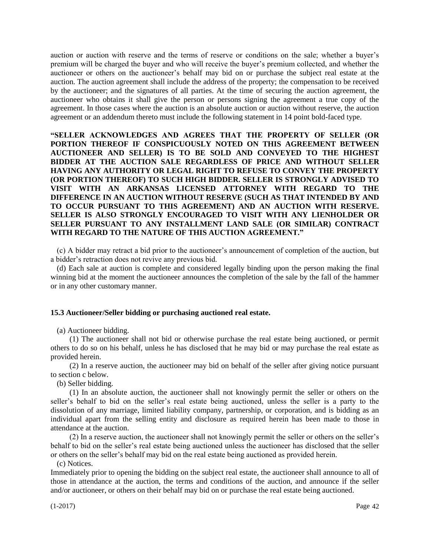auction or auction with reserve and the terms of reserve or conditions on the sale; whether a buyer's premium will be charged the buyer and who will receive the buyer's premium collected, and whether the auctioneer or others on the auctioneer's behalf may bid on or purchase the subject real estate at the auction. The auction agreement shall include the address of the property; the compensation to be received by the auctioneer; and the signatures of all parties. At the time of securing the auction agreement, the auctioneer who obtains it shall give the person or persons signing the agreement a true copy of the agreement. In those cases where the auction is an absolute auction or auction without reserve, the auction agreement or an addendum thereto must include the following statement in 14 point bold-faced type.

**"SELLER ACKNOWLEDGES AND AGREES THAT THE PROPERTY OF SELLER (OR PORTION THEREOF IF CONSPICUOUSLY NOTED ON THIS AGREEMENT BETWEEN AUCTIONEER AND SELLER) IS TO BE SOLD AND CONVEYED TO THE HIGHEST BIDDER AT THE AUCTION SALE REGARDLESS OF PRICE AND WITHOUT SELLER HAVING ANY AUTHORITY OR LEGAL RIGHT TO REFUSE TO CONVEY THE PROPERTY (OR PORTION THEREOF) TO SUCH HIGH BIDDER. SELLER IS STRONGLY ADVISED TO VISIT WITH AN ARKANSAS LICENSED ATTORNEY WITH REGARD TO THE DIFFERENCE IN AN AUCTION WITHOUT RESERVE (SUCH AS THAT INTENDED BY AND TO OCCUR PURSUANT TO THIS AGREEMENT) AND AN AUCTION WITH RESERVE. SELLER IS ALSO STRONGLY ENCOURAGED TO VISIT WITH ANY LIENHOLDER OR SELLER PURSUANT TO ANY INSTALLMENT LAND SALE (OR SIMILAR) CONTRACT WITH REGARD TO THE NATURE OF THIS AUCTION AGREEMENT."** 

(c) A bidder may retract a bid prior to the auctioneer's announcement of completion of the auction, but a bidder's retraction does not revive any previous bid.

(d) Each sale at auction is complete and considered legally binding upon the person making the final winning bid at the moment the auctioneer announces the completion of the sale by the fall of the hammer or in any other customary manner.

#### **15.3 Auctioneer/Seller bidding or purchasing auctioned real estate.**

(a) Auctioneer bidding.

(1) The auctioneer shall not bid or otherwise purchase the real estate being auctioned, or permit others to do so on his behalf, unless he has disclosed that he may bid or may purchase the real estate as provided herein.

(2) In a reserve auction, the auctioneer may bid on behalf of the seller after giving notice pursuant to section c below.

(b) Seller bidding.

(1) In an absolute auction, the auctioneer shall not knowingly permit the seller or others on the seller's behalf to bid on the seller's real estate being auctioned, unless the seller is a party to the dissolution of any marriage, limited liability company, partnership, or corporation, and is bidding as an individual apart from the selling entity and disclosure as required herein has been made to those in attendance at the auction.

(2) In a reserve auction, the auctioneer shall not knowingly permit the seller or others on the seller's behalf to bid on the seller's real estate being auctioned unless the auctioneer has disclosed that the seller or others on the seller's behalf may bid on the real estate being auctioned as provided herein.

(c) Notices.

Immediately prior to opening the bidding on the subject real estate, the auctioneer shall announce to all of those in attendance at the auction, the terms and conditions of the auction, and announce if the seller and/or auctioneer, or others on their behalf may bid on or purchase the real estate being auctioned.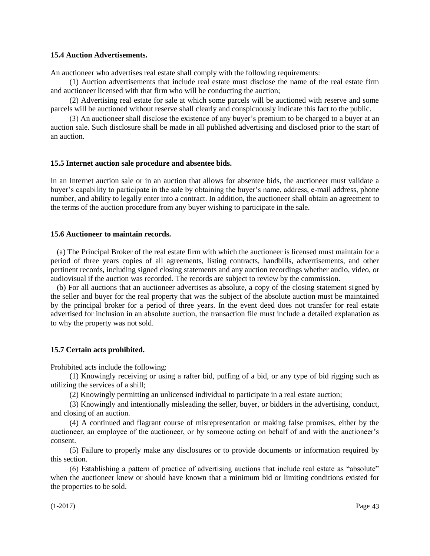#### **15.4 Auction Advertisements.**

An auctioneer who advertises real estate shall comply with the following requirements:

(1) Auction advertisements that include real estate must disclose the name of the real estate firm and auctioneer licensed with that firm who will be conducting the auction;

(2) Advertising real estate for sale at which some parcels will be auctioned with reserve and some parcels will be auctioned without reserve shall clearly and conspicuously indicate this fact to the public.

(3) An auctioneer shall disclose the existence of any buyer's premium to be charged to a buyer at an auction sale. Such disclosure shall be made in all published advertising and disclosed prior to the start of an auction.

#### **15.5 Internet auction sale procedure and absentee bids.**

In an Internet auction sale or in an auction that allows for absentee bids, the auctioneer must validate a buyer's capability to participate in the sale by obtaining the buyer's name, address, e-mail address, phone number, and ability to legally enter into a contract. In addition, the auctioneer shall obtain an agreement to the terms of the auction procedure from any buyer wishing to participate in the sale.

#### **15.6 Auctioneer to maintain records.**

(a) The Principal Broker of the real estate firm with which the auctioneer is licensed must maintain for a period of three years copies of all agreements, listing contracts, handbills, advertisements, and other pertinent records, including signed closing statements and any auction recordings whether audio, video, or audiovisual if the auction was recorded. The records are subject to review by the commission.

(b) For all auctions that an auctioneer advertises as absolute, a copy of the closing statement signed by the seller and buyer for the real property that was the subject of the absolute auction must be maintained by the principal broker for a period of three years. In the event deed does not transfer for real estate advertised for inclusion in an absolute auction, the transaction file must include a detailed explanation as to why the property was not sold.

## **15.7 Certain acts prohibited.**

Prohibited acts include the following:

(1) Knowingly receiving or using a rafter bid, puffing of a bid, or any type of bid rigging such as utilizing the services of a shill;

(2) Knowingly permitting an unlicensed individual to participate in a real estate auction;

(3) Knowingly and intentionally misleading the seller, buyer, or bidders in the advertising, conduct, and closing of an auction.

(4) A continued and flagrant course of misrepresentation or making false promises, either by the auctioneer, an employee of the auctioneer, or by someone acting on behalf of and with the auctioneer's consent.

(5) Failure to properly make any disclosures or to provide documents or information required by this section.

(6) Establishing a pattern of practice of advertising auctions that include real estate as "absolute" when the auctioneer knew or should have known that a minimum bid or limiting conditions existed for the properties to be sold.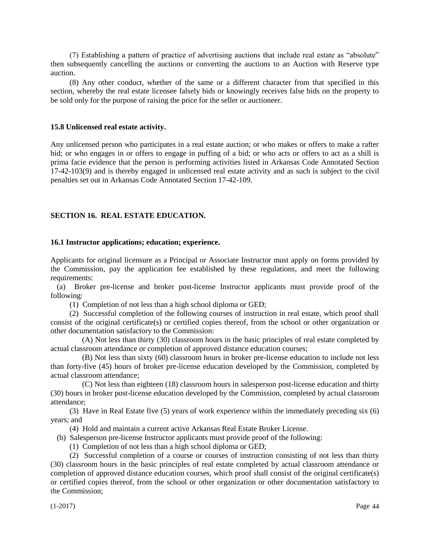(7) Establishing a pattern of practice of advertising auctions that include real estate as "absolute" then subsequently cancelling the auctions or converting the auctions to an Auction with Reserve type auction.

(8) Any other conduct, whether of the same or a different character from that specified in this section, whereby the real estate licensee falsely bids or knowingly receives false bids on the property to be sold only for the purpose of raising the price for the seller or auctioneer.

#### **15.8 Unlicensed real estate activity.**

Any unlicensed person who participates in a real estate auction; or who makes or offers to make a rafter bid; or who engages in or offers to engage in puffing of a bid; or who acts or offers to act as a shill is prima facie evidence that the person is performing activities listed in Arkansas Code Annotated Section 17-42-103(9) and is thereby engaged in unlicensed real estate activity and as such is subject to the civil penalties set out in Arkansas Code Annotated Section 17-42-109.

## **SECTION 16. REAL ESTATE EDUCATION.**

## **16.1 Instructor applications; education; experience.**

Applicants for original licensure as a Principal or Associate Instructor must apply on forms provided by the Commission, pay the application fee established by these regulations, and meet the following requirements:

(a) Broker pre-license and broker post-license Instructor applicants must provide proof of the following:

(1) Completion of not less than a high school diploma or GED;

(2) Successful completion of the following courses of instruction in real estate, which proof shall consist of the original certificate(s) or certified copies thereof, from the school or other organization or other documentation satisfactory to the Commission:

(A) Not less than thirty (30) classroom hours in the basic principles of real estate completed by actual classroom attendance or completion of approved distance education courses;

(B) Not less than sixty (60) classroom hours in broker pre-license education to include not less than forty-five (45) hours of broker pre-license education developed by the Commission, completed by actual classroom attendance;

(C) Not less than eighteen (18) classroom hours in salesperson post-license education and thirty (30) hours in broker post-license education developed by the Commission, completed by actual classroom attendance;

(3) Have in Real Estate five (5) years of work experience within the immediately preceding six (6) years; and

(4) Hold and maintain a current active Arkansas Real Estate Broker License.

(b) Salesperson pre-license Instructor applicants must provide proof of the following:

(1) Completion of not less than a high school diploma or GED;

(2) Successful completion of a course or courses of instruction consisting of not less than thirty (30) classroom hours in the basic principles of real estate completed by actual classroom attendance or completion of approved distance education courses, which proof shall consist of the original certificate(s) or certified copies thereof, from the school or other organization or other documentation satisfactory to the Commission;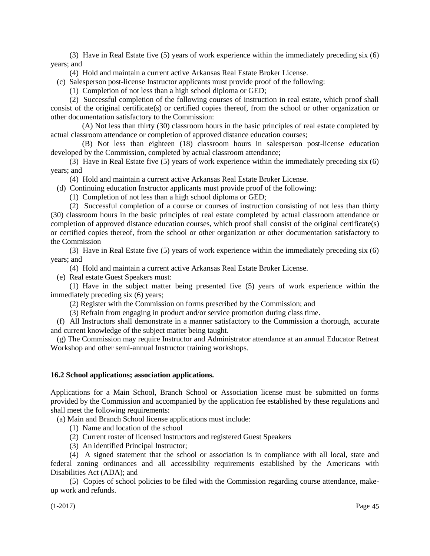(3) Have in Real Estate five (5) years of work experience within the immediately preceding six (6) years; and

(4) Hold and maintain a current active Arkansas Real Estate Broker License.

(c) Salesperson post-license Instructor applicants must provide proof of the following:

(1) Completion of not less than a high school diploma or GED;

(2) Successful completion of the following courses of instruction in real estate, which proof shall consist of the original certificate(s) or certified copies thereof, from the school or other organization or other documentation satisfactory to the Commission:

(A) Not less than thirty (30) classroom hours in the basic principles of real estate completed by actual classroom attendance or completion of approved distance education courses;

(B) Not less than eighteen (18) classroom hours in salesperson post-license education developed by the Commission, completed by actual classroom attendance;

(3) Have in Real Estate five (5) years of work experience within the immediately preceding six (6) years; and

(4) Hold and maintain a current active Arkansas Real Estate Broker License.

(d) Continuing education Instructor applicants must provide proof of the following:

(1) Completion of not less than a high school diploma or GED;

(2) Successful completion of a course or courses of instruction consisting of not less than thirty (30) classroom hours in the basic principles of real estate completed by actual classroom attendance or completion of approved distance education courses, which proof shall consist of the original certificate(s) or certified copies thereof, from the school or other organization or other documentation satisfactory to the Commission

(3) Have in Real Estate five (5) years of work experience within the immediately preceding six (6) years; and

(4) Hold and maintain a current active Arkansas Real Estate Broker License.

(e) Real estate Guest Speakers must:

(1) Have in the subject matter being presented five (5) years of work experience within the immediately preceding six (6) years;

(2) Register with the Commission on forms prescribed by the Commission; and

(3) Refrain from engaging in product and/or service promotion during class time.

(f) All Instructors shall demonstrate in a manner satisfactory to the Commission a thorough, accurate and current knowledge of the subject matter being taught.

(g) The Commission may require Instructor and Administrator attendance at an annual Educator Retreat Workshop and other semi-annual Instructor training workshops.

#### **16.2 School applications; association applications.**

Applications for a Main School, Branch School or Association license must be submitted on forms provided by the Commission and accompanied by the application fee established by these regulations and shall meet the following requirements:

(a) Main and Branch School license applications must include:

- (1) Name and location of the school
- (2) Current roster of licensed Instructors and registered Guest Speakers
- (3) An identified Principal Instructor;

(4) A signed statement that the school or association is in compliance with all local, state and federal zoning ordinances and all accessibility requirements established by the Americans with Disabilities Act (ADA); and

(5) Copies of school policies to be filed with the Commission regarding course attendance, makeup work and refunds.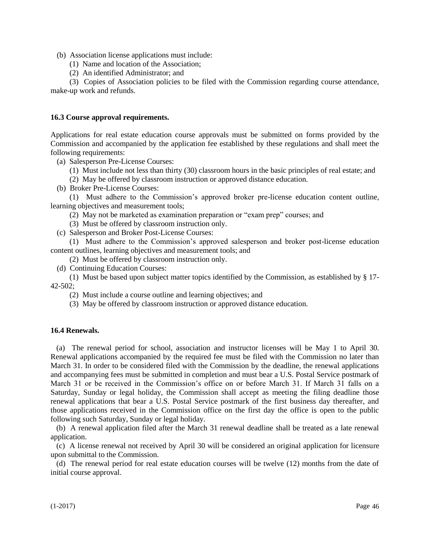- (b) Association license applications must include:
	- (1) Name and location of the Association;
	- (2) An identified Administrator; and

(3) Copies of Association policies to be filed with the Commission regarding course attendance, make-up work and refunds.

#### **16.3 Course approval requirements.**

Applications for real estate education course approvals must be submitted on forms provided by the Commission and accompanied by the application fee established by these regulations and shall meet the following requirements:

(a) Salesperson Pre-License Courses:

- (1) Must include not less than thirty (30) classroom hours in the basic principles of real estate; and
- (2) May be offered by classroom instruction or approved distance education.
- (b) Broker Pre-License Courses:

(1) Must adhere to the Commission's approved broker pre-license education content outline, learning objectives and measurement tools;

- (2) May not be marketed as examination preparation or "exam prep" courses; and
- (3) Must be offered by classroom instruction only.
- (c) Salesperson and Broker Post-License Courses:

(1) Must adhere to the Commission's approved salesperson and broker post-license education content outlines, learning objectives and measurement tools; and

(2) Must be offered by classroom instruction only.

(d) Continuing Education Courses:

(1) Must be based upon subject matter topics identified by the Commission, as established by § 17- 42-502;

- (2) Must include a course outline and learning objectives; and
- (3) May be offered by classroom instruction or approved distance education.

#### **16.4 Renewals.**

 (a) The renewal period for school, association and instructor licenses will be May 1 to April 30. Renewal applications accompanied by the required fee must be filed with the Commission no later than March 31. In order to be considered filed with the Commission by the deadline, the renewal applications and accompanying fees must be submitted in completion and must bear a U.S. Postal Service postmark of March 31 or be received in the Commission's office on or before March 31. If March 31 falls on a Saturday, Sunday or legal holiday, the Commission shall accept as meeting the filing deadline those renewal applications that bear a U.S. Postal Service postmark of the first business day thereafter, and those applications received in the Commission office on the first day the office is open to the public following such Saturday, Sunday or legal holiday.

 (b) A renewal application filed after the March 31 renewal deadline shall be treated as a late renewal application.

 (c) A license renewal not received by April 30 will be considered an original application for licensure upon submittal to the Commission.

 (d) The renewal period for real estate education courses will be twelve (12) months from the date of initial course approval.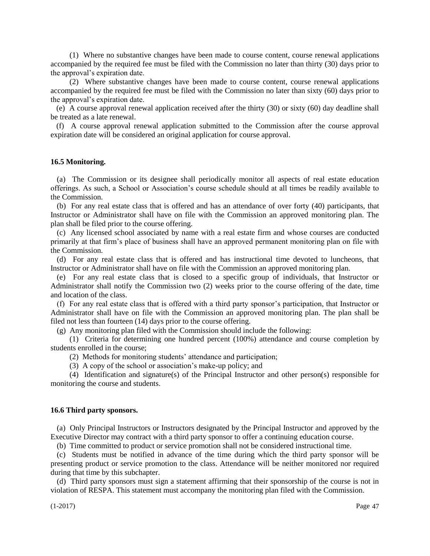(1) Where no substantive changes have been made to course content, course renewal applications accompanied by the required fee must be filed with the Commission no later than thirty (30) days prior to the approval's expiration date.

(2) Where substantive changes have been made to course content, course renewal applications accompanied by the required fee must be filed with the Commission no later than sixty (60) days prior to the approval's expiration date.

 (e) A course approval renewal application received after the thirty (30) or sixty (60) day deadline shall be treated as a late renewal.

 (f) A course approval renewal application submitted to the Commission after the course approval expiration date will be considered an original application for course approval.

#### **16.5 Monitoring.**

(a) The Commission or its designee shall periodically monitor all aspects of real estate education offerings. As such, a School or Association's course schedule should at all times be readily available to the Commission.

(b) For any real estate class that is offered and has an attendance of over forty (40) participants, that Instructor or Administrator shall have on file with the Commission an approved monitoring plan. The plan shall be filed prior to the course offering.

(c) Any licensed school associated by name with a real estate firm and whose courses are conducted primarily at that firm's place of business shall have an approved permanent monitoring plan on file with the Commission.

(d) For any real estate class that is offered and has instructional time devoted to luncheons, that Instructor or Administrator shall have on file with the Commission an approved monitoring plan.

(e) For any real estate class that is closed to a specific group of individuals, that Instructor or Administrator shall notify the Commission two (2) weeks prior to the course offering of the date, time and location of the class.

(f) For any real estate class that is offered with a third party sponsor's participation, that Instructor or Administrator shall have on file with the Commission an approved monitoring plan. The plan shall be filed not less than fourteen (14) days prior to the course offering.

(g) Any monitoring plan filed with the Commission should include the following:

(1) Criteria for determining one hundred percent (100%) attendance and course completion by students enrolled in the course;

(2) Methods for monitoring students' attendance and participation;

(3) A copy of the school or association's make-up policy; and

(4) Identification and signature(s) of the Principal Instructor and other person(s) responsible for monitoring the course and students.

#### **16.6 Third party sponsors.**

(a) Only Principal Instructors or Instructors designated by the Principal Instructor and approved by the Executive Director may contract with a third party sponsor to offer a continuing education course.

(b) Time committed to product or service promotion shall not be considered instructional time.

(c) Students must be notified in advance of the time during which the third party sponsor will be presenting product or service promotion to the class. Attendance will be neither monitored nor required during that time by this subchapter.

(d) Third party sponsors must sign a statement affirming that their sponsorship of the course is not in violation of RESPA. This statement must accompany the monitoring plan filed with the Commission.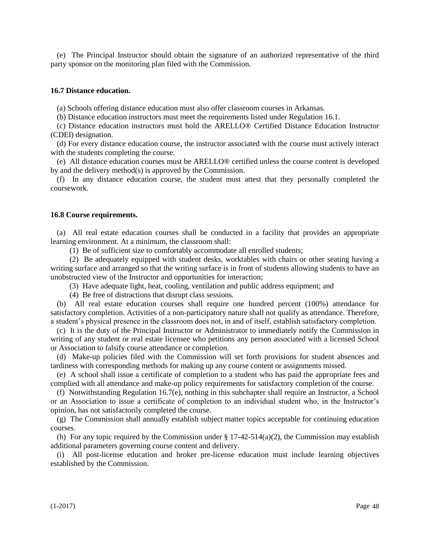(e) The Principal Instructor should obtain the signature of an authorized representative of the third party sponsor on the monitoring plan filed with the Commission.

#### **16.7 Distance education.**

(a) Schools offering distance education must also offer classroom courses in Arkansas.

(b) Distance education instructors must meet the requirements listed under Regulation 16.1.

(c) Distance education instructors must hold the ARELLO® Certified Distance Education Instructor (CDEI) designation.

(d) For every distance education course, the instructor associated with the course must actively interact with the students completing the course.

(e) All distance education courses must be ARELLO® certified unless the course content is developed by and the delivery method(s) is approved by the Commission.

(f) In any distance education course, the student must attest that they personally completed the coursework.

#### **16.8 Course requirements.**

(a) All real estate education courses shall be conducted in a facility that provides an appropriate learning environment. At a minimum, the classroom shall:

(1) Be of sufficient size to comfortably accommodate all enrolled students;

(2) Be adequately equipped with student desks, worktables with chairs or other seating having a writing surface and arranged so that the writing surface is in front of students allowing students to have an unobstructed view of the Instructor and opportunities for interaction;

(3) Have adequate light, heat, cooling, ventilation and public address equipment; and

(4) Be free of distractions that disrupt class sessions.

(b) All real estate education courses shall require one hundred percent (100%) attendance for satisfactory completion. Activities of a non-participatory nature shall not qualify as attendance. Therefore, a student's physical presence in the classroom does not, in and of itself, establish satisfactory completion.

(c) It is the duty of the Principal Instructor or Administrator to immediately notify the Commission in writing of any student or real estate licensee who petitions any person associated with a licensed School or Association to falsify course attendance or completion.

(d) Make-up policies filed with the Commission will set forth provisions for student absences and tardiness with corresponding methods for making up any course content or assignments missed.

(e) A school shall issue a certificate of completion to a student who has paid the appropriate fees and complied with all attendance and make-up policy requirements for satisfactory completion of the course.

(f) Notwithstanding Regulation 16.7(e), nothing in this subchapter shall require an Instructor, a School or an Association to issue a certificate of completion to an individual student who, in the Instructor's opinion, has not satisfactorily completed the course.

(g) The Commission shall annually establish subject matter topics acceptable for continuing education courses.

(h) For any topic required by the Commission under  $\S 17-42-514(a)(2)$ , the Commission may establish additional parameters governing course content and delivery.

(i) All post-license education and broker pre-license education must include learning objectives established by the Commission.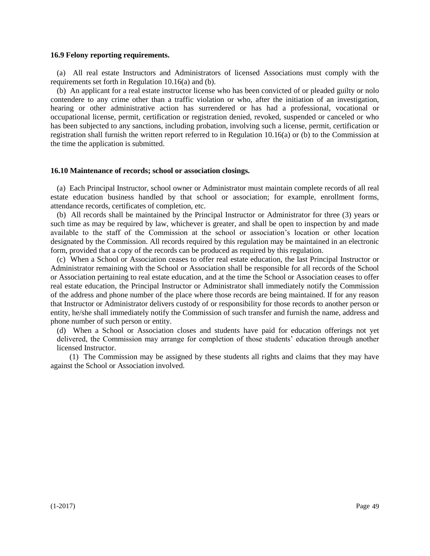#### **16.9 Felony reporting requirements.**

(a) All real estate Instructors and Administrators of licensed Associations must comply with the requirements set forth in Regulation 10.16(a) and (b).

(b) An applicant for a real estate instructor license who has been convicted of or pleaded guilty or nolo contendere to any crime other than a traffic violation or who, after the initiation of an investigation, hearing or other administrative action has surrendered or has had a professional, vocational or occupational license, permit, certification or registration denied, revoked, suspended or canceled or who has been subjected to any sanctions, including probation, involving such a license, permit, certification or registration shall furnish the written report referred to in Regulation 10.16(a) or (b) to the Commission at the time the application is submitted.

#### **16.10 Maintenance of records; school or association closings.**

(a) Each Principal Instructor, school owner or Administrator must maintain complete records of all real estate education business handled by that school or association; for example, enrollment forms, attendance records, certificates of completion, etc.

(b) All records shall be maintained by the Principal Instructor or Administrator for three (3) years or such time as may be required by law, whichever is greater, and shall be open to inspection by and made available to the staff of the Commission at the school or association's location or other location designated by the Commission. All records required by this regulation may be maintained in an electronic form, provided that a copy of the records can be produced as required by this regulation.

(c) When a School or Association ceases to offer real estate education, the last Principal Instructor or Administrator remaining with the School or Association shall be responsible for all records of the School or Association pertaining to real estate education, and at the time the School or Association ceases to offer real estate education, the Principal Instructor or Administrator shall immediately notify the Commission of the address and phone number of the place where those records are being maintained. If for any reason that Instructor or Administrator delivers custody of or responsibility for those records to another person or entity, he/she shall immediately notify the Commission of such transfer and furnish the name, address and phone number of such person or entity.

(d) When a School or Association closes and students have paid for education offerings not yet delivered, the Commission may arrange for completion of those students' education through another licensed Instructor.

(1) The Commission may be assigned by these students all rights and claims that they may have against the School or Association involved.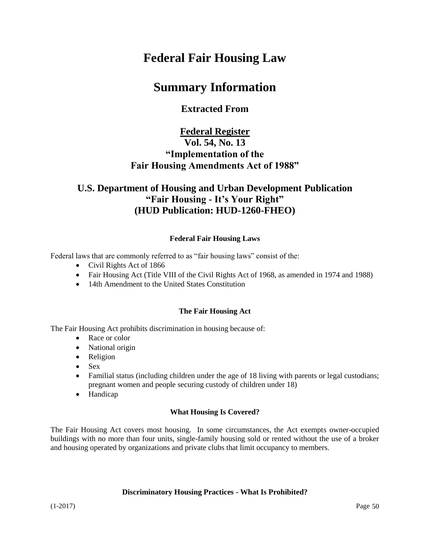# **Federal Fair Housing Law**

# **Summary Information**

# **Extracted From**

# **Federal Register Vol. 54, No. 13 "Implementation of the Fair Housing Amendments Act of 1988"**

## **U.S. Department of Housing and Urban Development Publication "Fair Housing - It's Your Right" (HUD Publication: HUD-1260-FHEO)**

## **Federal Fair Housing Laws**

Federal laws that are commonly referred to as "fair housing laws" consist of the:

- Civil Rights Act of 1866
- Fair Housing Act (Title VIII of the Civil Rights Act of 1968, as amended in 1974 and 1988)
- 14th Amendment to the United States Constitution

## **The Fair Housing Act**

The Fair Housing Act prohibits discrimination in housing because of:

- Race or color
- National origin
- Religion
- Sex
- Familial status (including children under the age of 18 living with parents or legal custodians; pregnant women and people securing custody of children under 18)
- Handicap

## **What Housing Is Covered?**

The Fair Housing Act covers most housing. In some circumstances, the Act exempts owner-occupied buildings with no more than four units, single-family housing sold or rented without the use of a broker and housing operated by organizations and private clubs that limit occupancy to members.

## **Discriminatory Housing Practices - What Is Prohibited?**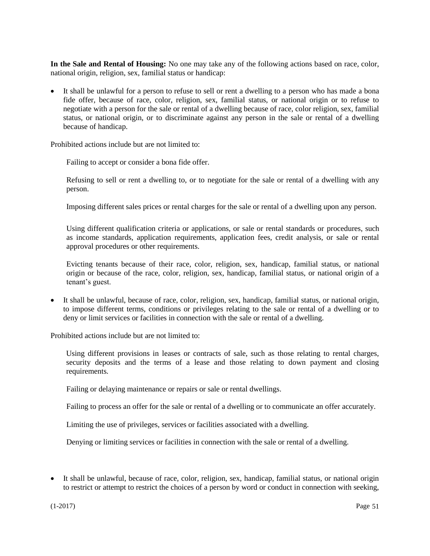**In the Sale and Rental of Housing:** No one may take any of the following actions based on race, color, national origin, religion, sex, familial status or handicap:

 It shall be unlawful for a person to refuse to sell or rent a dwelling to a person who has made a bona fide offer, because of race, color, religion, sex, familial status, or national origin or to refuse to negotiate with a person for the sale or rental of a dwelling because of race, color religion, sex, familial status, or national origin, or to discriminate against any person in the sale or rental of a dwelling because of handicap.

Prohibited actions include but are not limited to:

Failing to accept or consider a bona fide offer.

Refusing to sell or rent a dwelling to, or to negotiate for the sale or rental of a dwelling with any person.

Imposing different sales prices or rental charges for the sale or rental of a dwelling upon any person.

Using different qualification criteria or applications, or sale or rental standards or procedures, such as income standards, application requirements, application fees, credit analysis, or sale or rental approval procedures or other requirements.

Evicting tenants because of their race, color, religion, sex, handicap, familial status, or national origin or because of the race, color, religion, sex, handicap, familial status, or national origin of a tenant's guest.

 It shall be unlawful, because of race, color, religion, sex, handicap, familial status, or national origin, to impose different terms, conditions or privileges relating to the sale or rental of a dwelling or to deny or limit services or facilities in connection with the sale or rental of a dwelling.

Prohibited actions include but are not limited to:

Using different provisions in leases or contracts of sale, such as those relating to rental charges, security deposits and the terms of a lease and those relating to down payment and closing requirements.

Failing or delaying maintenance or repairs or sale or rental dwellings.

Failing to process an offer for the sale or rental of a dwelling or to communicate an offer accurately.

Limiting the use of privileges, services or facilities associated with a dwelling.

Denying or limiting services or facilities in connection with the sale or rental of a dwelling.

 It shall be unlawful, because of race, color, religion, sex, handicap, familial status, or national origin to restrict or attempt to restrict the choices of a person by word or conduct in connection with seeking,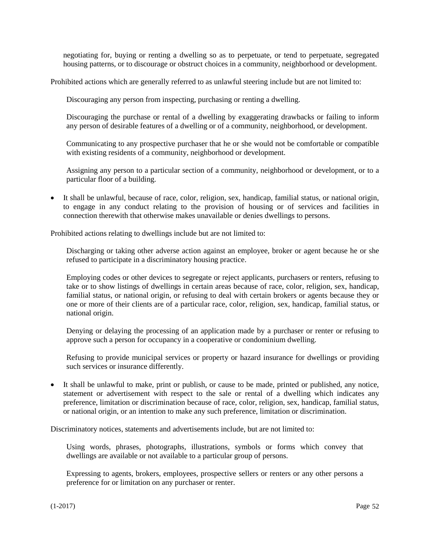negotiating for, buying or renting a dwelling so as to perpetuate, or tend to perpetuate, segregated housing patterns, or to discourage or obstruct choices in a community, neighborhood or development.

Prohibited actions which are generally referred to as unlawful steering include but are not limited to:

Discouraging any person from inspecting, purchasing or renting a dwelling.

Discouraging the purchase or rental of a dwelling by exaggerating drawbacks or failing to inform any person of desirable features of a dwelling or of a community, neighborhood, or development.

Communicating to any prospective purchaser that he or she would not be comfortable or compatible with existing residents of a community, neighborhood or development.

Assigning any person to a particular section of a community, neighborhood or development, or to a particular floor of a building.

 It shall be unlawful, because of race, color, religion, sex, handicap, familial status, or national origin, to engage in any conduct relating to the provision of housing or of services and facilities in connection therewith that otherwise makes unavailable or denies dwellings to persons.

Prohibited actions relating to dwellings include but are not limited to:

Discharging or taking other adverse action against an employee, broker or agent because he or she refused to participate in a discriminatory housing practice.

Employing codes or other devices to segregate or reject applicants, purchasers or renters, refusing to take or to show listings of dwellings in certain areas because of race, color, religion, sex, handicap, familial status, or national origin, or refusing to deal with certain brokers or agents because they or one or more of their clients are of a particular race, color, religion, sex, handicap, familial status, or national origin.

Denying or delaying the processing of an application made by a purchaser or renter or refusing to approve such a person for occupancy in a cooperative or condominium dwelling.

Refusing to provide municipal services or property or hazard insurance for dwellings or providing such services or insurance differently.

 It shall be unlawful to make, print or publish, or cause to be made, printed or published, any notice, statement or advertisement with respect to the sale or rental of a dwelling which indicates any preference, limitation or discrimination because of race, color, religion, sex, handicap, familial status, or national origin, or an intention to make any such preference, limitation or discrimination.

Discriminatory notices, statements and advertisements include, but are not limited to:

Using words, phrases, photographs, illustrations, symbols or forms which convey that dwellings are available or not available to a particular group of persons.

Expressing to agents, brokers, employees, prospective sellers or renters or any other persons a preference for or limitation on any purchaser or renter.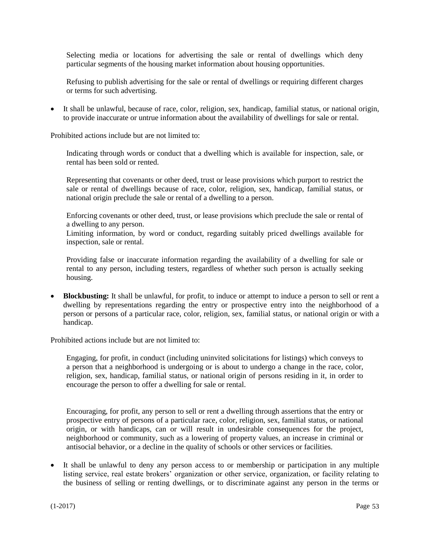Selecting media or locations for advertising the sale or rental of dwellings which deny particular segments of the housing market information about housing opportunities.

Refusing to publish advertising for the sale or rental of dwellings or requiring different charges or terms for such advertising.

 It shall be unlawful, because of race, color, religion, sex, handicap, familial status, or national origin, to provide inaccurate or untrue information about the availability of dwellings for sale or rental.

Prohibited actions include but are not limited to:

Indicating through words or conduct that a dwelling which is available for inspection, sale, or rental has been sold or rented.

Representing that covenants or other deed, trust or lease provisions which purport to restrict the sale or rental of dwellings because of race, color, religion, sex, handicap, familial status, or national origin preclude the sale or rental of a dwelling to a person.

Enforcing covenants or other deed, trust, or lease provisions which preclude the sale or rental of a dwelling to any person.

Limiting information, by word or conduct, regarding suitably priced dwellings available for inspection, sale or rental.

Providing false or inaccurate information regarding the availability of a dwelling for sale or rental to any person, including testers, regardless of whether such person is actually seeking housing.

 **Blockbusting:** It shall be unlawful, for profit, to induce or attempt to induce a person to sell or rent a dwelling by representations regarding the entry or prospective entry into the neighborhood of a person or persons of a particular race, color, religion, sex, familial status, or national origin or with a handicap.

Prohibited actions include but are not limited to:

Engaging, for profit, in conduct (including uninvited solicitations for listings) which conveys to a person that a neighborhood is undergoing or is about to undergo a change in the race, color, religion, sex, handicap, familial status, or national origin of persons residing in it, in order to encourage the person to offer a dwelling for sale or rental.

Encouraging, for profit, any person to sell or rent a dwelling through assertions that the entry or prospective entry of persons of a particular race, color, religion, sex, familial status, or national origin, or with handicaps, can or will result in undesirable consequences for the project, neighborhood or community, such as a lowering of property values, an increase in criminal or antisocial behavior, or a decline in the quality of schools or other services or facilities.

 It shall be unlawful to deny any person access to or membership or participation in any multiple listing service, real estate brokers' organization or other service, organization, or facility relating to the business of selling or renting dwellings, or to discriminate against any person in the terms or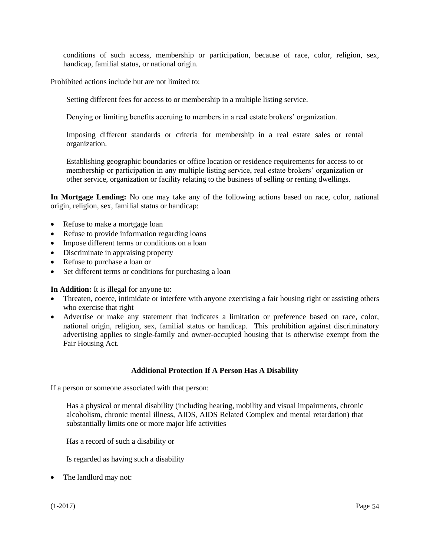conditions of such access, membership or participation, because of race, color, religion, sex, handicap, familial status, or national origin.

Prohibited actions include but are not limited to:

Setting different fees for access to or membership in a multiple listing service.

Denying or limiting benefits accruing to members in a real estate brokers' organization.

Imposing different standards or criteria for membership in a real estate sales or rental organization.

Establishing geographic boundaries or office location or residence requirements for access to or membership or participation in any multiple listing service, real estate brokers' organization or other service, organization or facility relating to the business of selling or renting dwellings.

**In Mortgage Lending:** No one may take any of the following actions based on race, color, national origin, religion, sex, familial status or handicap:

- Refuse to make a mortgage loan
- Refuse to provide information regarding loans
- Impose different terms or conditions on a loan
- Discriminate in appraising property
- Refuse to purchase a loan or
- Set different terms or conditions for purchasing a loan

**In Addition:** It is illegal for anyone to:

- Threaten, coerce, intimidate or interfere with anyone exercising a fair housing right or assisting others who exercise that right
- Advertise or make any statement that indicates a limitation or preference based on race, color, national origin, religion, sex, familial status or handicap. This prohibition against discriminatory advertising applies to single-family and owner-occupied housing that is otherwise exempt from the Fair Housing Act.

#### **Additional Protection If A Person Has A Disability**

If a person or someone associated with that person:

Has a physical or mental disability (including hearing, mobility and visual impairments, chronic alcoholism, chronic mental illness, AIDS, AIDS Related Complex and mental retardation) that substantially limits one or more major life activities

Has a record of such a disability or

Is regarded as having such a disability

The landlord may not: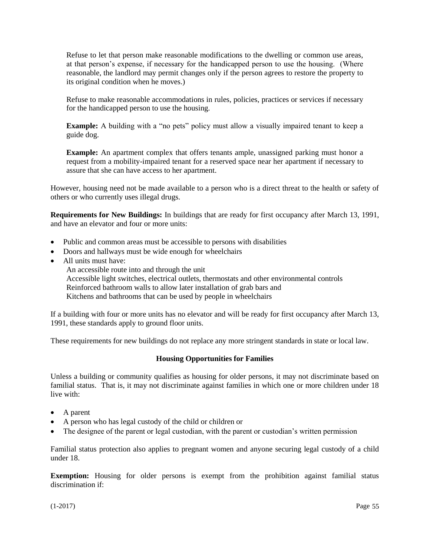Refuse to let that person make reasonable modifications to the dwelling or common use areas, at that person's expense, if necessary for the handicapped person to use the housing. (Where reasonable, the landlord may permit changes only if the person agrees to restore the property to its original condition when he moves.)

Refuse to make reasonable accommodations in rules, policies, practices or services if necessary for the handicapped person to use the housing.

**Example:** A building with a "no pets" policy must allow a visually impaired tenant to keep a guide dog.

**Example:** An apartment complex that offers tenants ample, unassigned parking must honor a request from a mobility-impaired tenant for a reserved space near her apartment if necessary to assure that she can have access to her apartment.

However, housing need not be made available to a person who is a direct threat to the health or safety of others or who currently uses illegal drugs.

**Requirements for New Buildings:** In buildings that are ready for first occupancy after March 13, 1991, and have an elevator and four or more units:

- Public and common areas must be accessible to persons with disabilities
- Doors and hallways must be wide enough for wheelchairs
- All units must have:

An accessible route into and through the unit Accessible light switches, electrical outlets, thermostats and other environmental controls Reinforced bathroom walls to allow later installation of grab bars and Kitchens and bathrooms that can be used by people in wheelchairs

If a building with four or more units has no elevator and will be ready for first occupancy after March 13, 1991, these standards apply to ground floor units.

These requirements for new buildings do not replace any more stringent standards in state or local law.

## **Housing Opportunities for Families**

Unless a building or community qualifies as housing for older persons, it may not discriminate based on familial status. That is, it may not discriminate against families in which one or more children under 18 live with:

- A parent
- A person who has legal custody of the child or children or
- The designee of the parent or legal custodian, with the parent or custodian's written permission

Familial status protection also applies to pregnant women and anyone securing legal custody of a child under 18.

**Exemption:** Housing for older persons is exempt from the prohibition against familial status discrimination if: